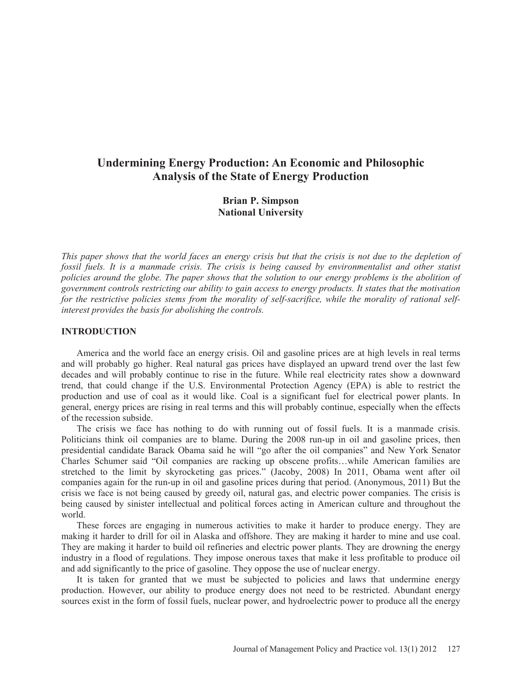# **Undermining Energy Production: An Economic and Philosophic Analysis of the State of Energy Production**

## **Brian P. Simpson National University**

*This paper shows that the world faces an energy crisis but that the crisis is not due to the depletion of fossil fuels. It is a manmade crisis. The crisis is being caused by environmentalist and other statist policies around the globe. The paper shows that the solution to our energy problems is the abolition of government controls restricting our ability to gain access to energy products. It states that the motivation for the restrictive policies stems from the morality of self-sacrifice, while the morality of rational selfinterest provides the basis for abolishing the controls.*

#### **INTRODUCTION**

America and the world face an energy crisis. Oil and gasoline prices are at high levels in real terms and will probably go higher. Real natural gas prices have displayed an upward trend over the last few decades and will probably continue to rise in the future. While real electricity rates show a downward trend, that could change if the U.S. Environmental Protection Agency (EPA) is able to restrict the production and use of coal as it would like. Coal is a significant fuel for electrical power plants. In general, energy prices are rising in real terms and this will probably continue, especially when the effects of the recession subside.

The crisis we face has nothing to do with running out of fossil fuels. It is a manmade crisis. Politicians think oil companies are to blame. During the 2008 run-up in oil and gasoline prices, then presidential candidate Barack Obama said he will "go after the oil companies" and New York Senator Charles Schumer said "Oil companies are racking up obscene profits…while American families are stretched to the limit by skyrocketing gas prices." (Jacoby, 2008) In 2011, Obama went after oil companies again for the run-up in oil and gasoline prices during that period. (Anonymous, 2011) But the crisis we face is not being caused by greedy oil, natural gas, and electric power companies. The crisis is being caused by sinister intellectual and political forces acting in American culture and throughout the world.

These forces are engaging in numerous activities to make it harder to produce energy. They are making it harder to drill for oil in Alaska and offshore. They are making it harder to mine and use coal. They are making it harder to build oil refineries and electric power plants. They are drowning the energy industry in a flood of regulations. They impose onerous taxes that make it less profitable to produce oil and add significantly to the price of gasoline. They oppose the use of nuclear energy.

It is taken for granted that we must be subjected to policies and laws that undermine energy production. However, our ability to produce energy does not need to be restricted. Abundant energy sources exist in the form of fossil fuels, nuclear power, and hydroelectric power to produce all the energy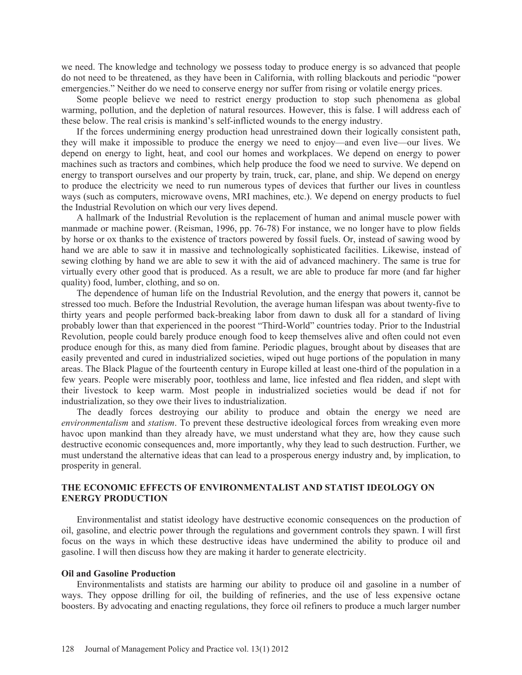we need. The knowledge and technology we possess today to produce energy is so advanced that people do not need to be threatened, as they have been in California, with rolling blackouts and periodic "power emergencies." Neither do we need to conserve energy nor suffer from rising or volatile energy prices.

Some people believe we need to restrict energy production to stop such phenomena as global warming, pollution, and the depletion of natural resources. However, this is false. I will address each of these below. The real crisis is mankind's self-inflicted wounds to the energy industry.

If the forces undermining energy production head unrestrained down their logically consistent path, they will make it impossible to produce the energy we need to enjoy—and even live—our lives. We depend on energy to light, heat, and cool our homes and workplaces. We depend on energy to power machines such as tractors and combines, which help produce the food we need to survive. We depend on energy to transport ourselves and our property by train, truck, car, plane, and ship. We depend on energy to produce the electricity we need to run numerous types of devices that further our lives in countless ways (such as computers, microwave ovens, MRI machines, etc.). We depend on energy products to fuel the Industrial Revolution on which our very lives depend.

A hallmark of the Industrial Revolution is the replacement of human and animal muscle power with manmade or machine power. (Reisman, 1996, pp. 76-78) For instance, we no longer have to plow fields by horse or ox thanks to the existence of tractors powered by fossil fuels. Or, instead of sawing wood by hand we are able to saw it in massive and technologically sophisticated facilities. Likewise, instead of sewing clothing by hand we are able to sew it with the aid of advanced machinery. The same is true for virtually every other good that is produced. As a result, we are able to produce far more (and far higher quality) food, lumber, clothing, and so on.

The dependence of human life on the Industrial Revolution, and the energy that powers it, cannot be stressed too much. Before the Industrial Revolution, the average human lifespan was about twenty-five to thirty years and people performed back-breaking labor from dawn to dusk all for a standard of living probably lower than that experienced in the poorest "Third-World" countries today. Prior to the Industrial Revolution, people could barely produce enough food to keep themselves alive and often could not even produce enough for this, as many died from famine. Periodic plagues, brought about by diseases that are easily prevented and cured in industrialized societies, wiped out huge portions of the population in many areas. The Black Plague of the fourteenth century in Europe killed at least one-third of the population in a few years. People were miserably poor, toothless and lame, lice infested and flea ridden, and slept with their livestock to keep warm. Most people in industrialized societies would be dead if not for industrialization, so they owe their lives to industrialization.

The deadly forces destroying our ability to produce and obtain the energy we need are *environmentalism* and *statism*. To prevent these destructive ideological forces from wreaking even more havoc upon mankind than they already have, we must understand what they are, how they cause such destructive economic consequences and, more importantly, why they lead to such destruction. Further, we must understand the alternative ideas that can lead to a prosperous energy industry and, by implication, to prosperity in general.

## **THE ECONOMIC EFFECTS OF ENVIRONMENTALIST AND STATIST IDEOLOGY ON ENERGY PRODUCTION**

Environmentalist and statist ideology have destructive economic consequences on the production of oil, gasoline, and electric power through the regulations and government controls they spawn. I will first focus on the ways in which these destructive ideas have undermined the ability to produce oil and gasoline. I will then discuss how they are making it harder to generate electricity.

#### **Oil and Gasoline Production**

Environmentalists and statists are harming our ability to produce oil and gasoline in a number of ways. They oppose drilling for oil, the building of refineries, and the use of less expensive octane boosters. By advocating and enacting regulations, they force oil refiners to produce a much larger number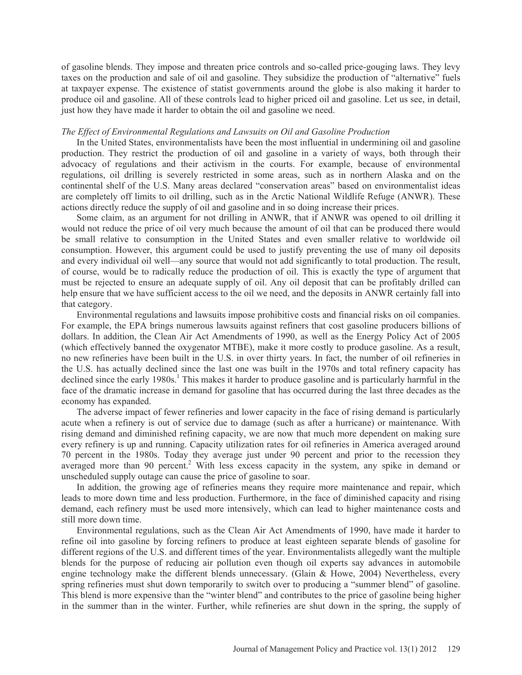of gasoline blends. They impose and threaten price controls and so-called price-gouging laws. They levy taxes on the production and sale of oil and gasoline. They subsidize the production of "alternative" fuels at taxpayer expense. The existence of statist governments around the globe is also making it harder to produce oil and gasoline. All of these controls lead to higher priced oil and gasoline. Let us see, in detail, just how they have made it harder to obtain the oil and gasoline we need.

#### *The Effect of Environmental Regulations and Lawsuits on Oil and Gasoline Production*

In the United States, environmentalists have been the most influential in undermining oil and gasoline production. They restrict the production of oil and gasoline in a variety of ways, both through their advocacy of regulations and their activism in the courts. For example, because of environmental regulations, oil drilling is severely restricted in some areas, such as in northern Alaska and on the continental shelf of the U.S. Many areas declared "conservation areas" based on environmentalist ideas are completely off limits to oil drilling, such as in the Arctic National Wildlife Refuge (ANWR). These actions directly reduce the supply of oil and gasoline and in so doing increase their prices.

Some claim, as an argument for not drilling in ANWR, that if ANWR was opened to oil drilling it would not reduce the price of oil very much because the amount of oil that can be produced there would be small relative to consumption in the United States and even smaller relative to worldwide oil consumption. However, this argument could be used to justify preventing the use of many oil deposits and every individual oil well—any source that would not add significantly to total production. The result, of course, would be to radically reduce the production of oil. This is exactly the type of argument that must be rejected to ensure an adequate supply of oil. Any oil deposit that can be profitably drilled can help ensure that we have sufficient access to the oil we need, and the deposits in ANWR certainly fall into that category.

Environmental regulations and lawsuits impose prohibitive costs and financial risks on oil companies. For example, the EPA brings numerous lawsuits against refiners that cost gasoline producers billions of dollars. In addition, the Clean Air Act Amendments of 1990, as well as the Energy Policy Act of 2005 (which effectively banned the oxygenator MTBE), make it more costly to produce gasoline. As a result, no new refineries have been built in the U.S. in over thirty years. In fact, the number of oil refineries in the U.S. has actually declined since the last one was built in the 1970s and total refinery capacity has declined since the early 1980s.<sup>1</sup> This makes it harder to produce gasoline and is particularly harmful in the face of the dramatic increase in demand for gasoline that has occurred during the last three decades as the economy has expanded.

The adverse impact of fewer refineries and lower capacity in the face of rising demand is particularly acute when a refinery is out of service due to damage (such as after a hurricane) or maintenance. With rising demand and diminished refining capacity, we are now that much more dependent on making sure every refinery is up and running. Capacity utilization rates for oil refineries in America averaged around 70 percent in the 1980s. Today they average just under 90 percent and prior to the recession they averaged more than 90 percent.<sup>2</sup> With less excess capacity in the system, any spike in demand or unscheduled supply outage can cause the price of gasoline to soar.

In addition, the growing age of refineries means they require more maintenance and repair, which leads to more down time and less production. Furthermore, in the face of diminished capacity and rising demand, each refinery must be used more intensively, which can lead to higher maintenance costs and still more down time.

Environmental regulations, such as the Clean Air Act Amendments of 1990, have made it harder to refine oil into gasoline by forcing refiners to produce at least eighteen separate blends of gasoline for different regions of the U.S. and different times of the year. Environmentalists allegedly want the multiple blends for the purpose of reducing air pollution even though oil experts say advances in automobile engine technology make the different blends unnecessary. (Glain & Howe, 2004) Nevertheless, every spring refineries must shut down temporarily to switch over to producing a "summer blend" of gasoline. This blend is more expensive than the "winter blend" and contributes to the price of gasoline being higher in the summer than in the winter. Further, while refineries are shut down in the spring, the supply of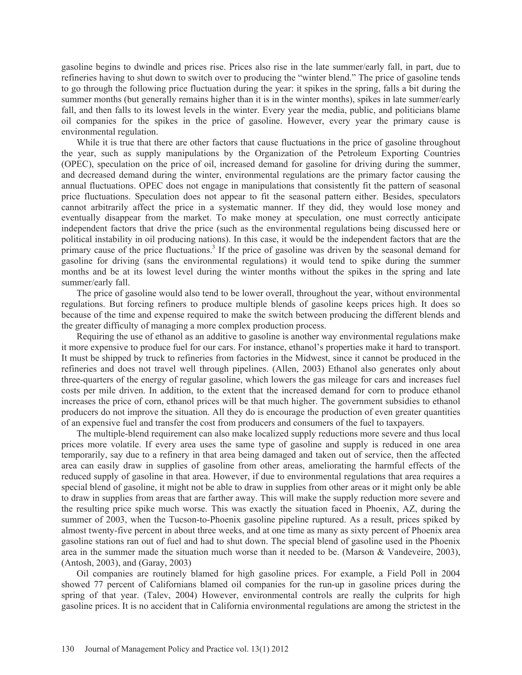gasoline begins to dwindle and prices rise. Prices also rise in the late summer/early fall, in part, due to refineries having to shut down to switch over to producing the "winter blend." The price of gasoline tends to go through the following price fluctuation during the year: it spikes in the spring, falls a bit during the summer months (but generally remains higher than it is in the winter months), spikes in late summer/early fall, and then falls to its lowest levels in the winter. Every year the media, public, and politicians blame oil companies for the spikes in the price of gasoline. However, every year the primary cause is environmental regulation.

While it is true that there are other factors that cause fluctuations in the price of gasoline throughout the year, such as supply manipulations by the Organization of the Petroleum Exporting Countries (OPEC), speculation on the price of oil, increased demand for gasoline for driving during the summer, and decreased demand during the winter, environmental regulations are the primary factor causing the annual fluctuations. OPEC does not engage in manipulations that consistently fit the pattern of seasonal price fluctuations. Speculation does not appear to fit the seasonal pattern either. Besides, speculators cannot arbitrarily affect the price in a systematic manner. If they did, they would lose money and eventually disappear from the market. To make money at speculation, one must correctly anticipate independent factors that drive the price (such as the environmental regulations being discussed here or political instability in oil producing nations). In this case, it would be the independent factors that are the primary cause of the price fluctuations.<sup>3</sup> If the price of gasoline was driven by the seasonal demand for gasoline for driving (sans the environmental regulations) it would tend to spike during the summer months and be at its lowest level during the winter months without the spikes in the spring and late summer/early fall.

The price of gasoline would also tend to be lower overall, throughout the year, without environmental regulations. But forcing refiners to produce multiple blends of gasoline keeps prices high. It does so because of the time and expense required to make the switch between producing the different blends and the greater difficulty of managing a more complex production process.

Requiring the use of ethanol as an additive to gasoline is another way environmental regulations make it more expensive to produce fuel for our cars. For instance, ethanol's properties make it hard to transport. It must be shipped by truck to refineries from factories in the Midwest, since it cannot be produced in the refineries and does not travel well through pipelines. (Allen, 2003) Ethanol also generates only about three-quarters of the energy of regular gasoline, which lowers the gas mileage for cars and increases fuel costs per mile driven. In addition, to the extent that the increased demand for corn to produce ethanol increases the price of corn, ethanol prices will be that much higher. The government subsidies to ethanol producers do not improve the situation. All they do is encourage the production of even greater quantities of an expensive fuel and transfer the cost from producers and consumers of the fuel to taxpayers.

The multiple-blend requirement can also make localized supply reductions more severe and thus local prices more volatile. If every area uses the same type of gasoline and supply is reduced in one area temporarily, say due to a refinery in that area being damaged and taken out of service, then the affected area can easily draw in supplies of gasoline from other areas, ameliorating the harmful effects of the reduced supply of gasoline in that area. However, if due to environmental regulations that area requires a special blend of gasoline, it might not be able to draw in supplies from other areas or it might only be able to draw in supplies from areas that are farther away. This will make the supply reduction more severe and the resulting price spike much worse. This was exactly the situation faced in Phoenix, AZ, during the summer of 2003, when the Tucson-to-Phoenix gasoline pipeline ruptured. As a result, prices spiked by almost twenty-five percent in about three weeks, and at one time as many as sixty percent of Phoenix area gasoline stations ran out of fuel and had to shut down. The special blend of gasoline used in the Phoenix area in the summer made the situation much worse than it needed to be. (Marson & Vandeveire, 2003), (Antosh, 2003), and (Garay, 2003)

Oil companies are routinely blamed for high gasoline prices. For example, a Field Poll in 2004 showed 77 percent of Californians blamed oil companies for the run-up in gasoline prices during the spring of that year. (Talev, 2004) However, environmental controls are really the culprits for high gasoline prices. It is no accident that in California environmental regulations are among the strictest in the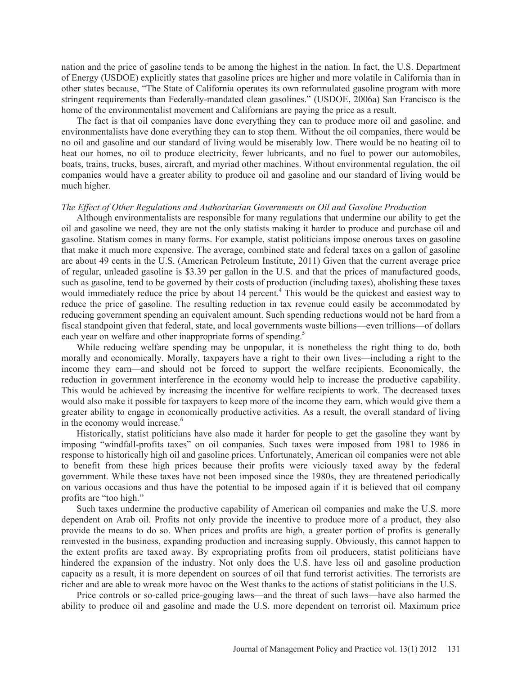nation and the price of gasoline tends to be among the highest in the nation. In fact, the U.S. Department of Energy (USDOE) explicitly states that gasoline prices are higher and more volatile in California than in other states because, "The State of California operates its own reformulated gasoline program with more stringent requirements than Federally-mandated clean gasolines." (USDOE, 2006a) San Francisco is the home of the environmentalist movement and Californians are paying the price as a result.

The fact is that oil companies have done everything they can to produce more oil and gasoline, and environmentalists have done everything they can to stop them. Without the oil companies, there would be no oil and gasoline and our standard of living would be miserably low. There would be no heating oil to heat our homes, no oil to produce electricity, fewer lubricants, and no fuel to power our automobiles, boats, trains, trucks, buses, aircraft, and myriad other machines. Without environmental regulation, the oil companies would have a greater ability to produce oil and gasoline and our standard of living would be much higher.

#### *The Effect of Other Regulations and Authoritarian Governments on Oil and Gasoline Production*

Although environmentalists are responsible for many regulations that undermine our ability to get the oil and gasoline we need, they are not the only statists making it harder to produce and purchase oil and gasoline. Statism comes in many forms. For example, statist politicians impose onerous taxes on gasoline that make it much more expensive. The average, combined state and federal taxes on a gallon of gasoline are about 49 cents in the U.S. (American Petroleum Institute, 2011) Given that the current average price of regular, unleaded gasoline is \$3.39 per gallon in the U.S. and that the prices of manufactured goods, such as gasoline, tend to be governed by their costs of production (including taxes), abolishing these taxes would immediately reduce the price by about 14 percent.<sup>4</sup> This would be the quickest and easiest way to reduce the price of gasoline. The resulting reduction in tax revenue could easily be accommodated by reducing government spending an equivalent amount. Such spending reductions would not be hard from a fiscal standpoint given that federal, state, and local governments waste billions—even trillions—of dollars each year on welfare and other inappropriate forms of spending.<sup>5</sup>

While reducing welfare spending may be unpopular, it is nonetheless the right thing to do, both morally and economically. Morally, taxpayers have a right to their own lives—including a right to the income they earn—and should not be forced to support the welfare recipients. Economically, the reduction in government interference in the economy would help to increase the productive capability. This would be achieved by increasing the incentive for welfare recipients to work. The decreased taxes would also make it possible for taxpayers to keep more of the income they earn, which would give them a greater ability to engage in economically productive activities. As a result, the overall standard of living in the economy would increase.<sup>6</sup>

Historically, statist politicians have also made it harder for people to get the gasoline they want by imposing "windfall-profits taxes" on oil companies. Such taxes were imposed from 1981 to 1986 in response to historically high oil and gasoline prices. Unfortunately, American oil companies were not able to benefit from these high prices because their profits were viciously taxed away by the federal government. While these taxes have not been imposed since the 1980s, they are threatened periodically on various occasions and thus have the potential to be imposed again if it is believed that oil company profits are "too high."

Such taxes undermine the productive capability of American oil companies and make the U.S. more dependent on Arab oil. Profits not only provide the incentive to produce more of a product, they also provide the means to do so. When prices and profits are high, a greater portion of profits is generally reinvested in the business, expanding production and increasing supply. Obviously, this cannot happen to the extent profits are taxed away. By expropriating profits from oil producers, statist politicians have hindered the expansion of the industry. Not only does the U.S. have less oil and gasoline production capacity as a result, it is more dependent on sources of oil that fund terrorist activities. The terrorists are richer and are able to wreak more havoc on the West thanks to the actions of statist politicians in the U.S.

Price controls or so-called price-gouging laws—and the threat of such laws—have also harmed the ability to produce oil and gasoline and made the U.S. more dependent on terrorist oil. Maximum price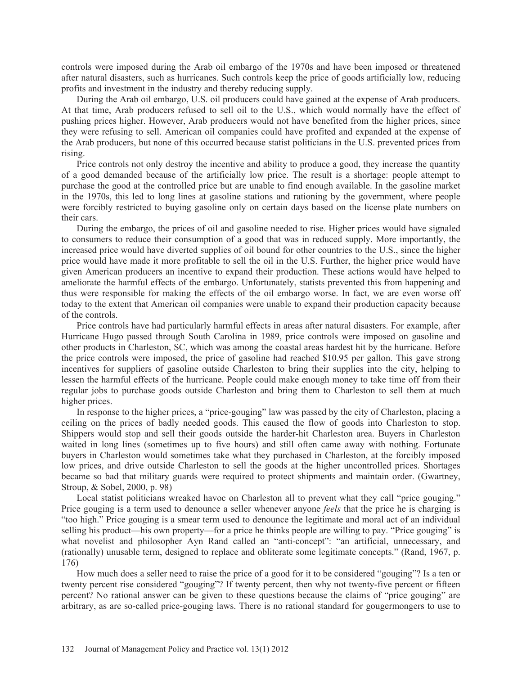controls were imposed during the Arab oil embargo of the 1970s and have been imposed or threatened after natural disasters, such as hurricanes. Such controls keep the price of goods artificially low, reducing profits and investment in the industry and thereby reducing supply.

During the Arab oil embargo, U.S. oil producers could have gained at the expense of Arab producers. At that time, Arab producers refused to sell oil to the U.S., which would normally have the effect of pushing prices higher. However, Arab producers would not have benefited from the higher prices, since they were refusing to sell. American oil companies could have profited and expanded at the expense of the Arab producers, but none of this occurred because statist politicians in the U.S. prevented prices from rising.

Price controls not only destroy the incentive and ability to produce a good, they increase the quantity of a good demanded because of the artificially low price. The result is a shortage: people attempt to purchase the good at the controlled price but are unable to find enough available. In the gasoline market in the 1970s, this led to long lines at gasoline stations and rationing by the government, where people were forcibly restricted to buying gasoline only on certain days based on the license plate numbers on their cars.

During the embargo, the prices of oil and gasoline needed to rise. Higher prices would have signaled to consumers to reduce their consumption of a good that was in reduced supply. More importantly, the increased price would have diverted supplies of oil bound for other countries to the U.S., since the higher price would have made it more profitable to sell the oil in the U.S. Further, the higher price would have given American producers an incentive to expand their production. These actions would have helped to ameliorate the harmful effects of the embargo. Unfortunately, statists prevented this from happening and thus were responsible for making the effects of the oil embargo worse. In fact, we are even worse off today to the extent that American oil companies were unable to expand their production capacity because of the controls.

Price controls have had particularly harmful effects in areas after natural disasters. For example, after Hurricane Hugo passed through South Carolina in 1989, price controls were imposed on gasoline and other products in Charleston, SC, which was among the coastal areas hardest hit by the hurricane. Before the price controls were imposed, the price of gasoline had reached \$10.95 per gallon. This gave strong incentives for suppliers of gasoline outside Charleston to bring their supplies into the city, helping to lessen the harmful effects of the hurricane. People could make enough money to take time off from their regular jobs to purchase goods outside Charleston and bring them to Charleston to sell them at much higher prices.

In response to the higher prices, a "price-gouging" law was passed by the city of Charleston, placing a ceiling on the prices of badly needed goods. This caused the flow of goods into Charleston to stop. Shippers would stop and sell their goods outside the harder-hit Charleston area. Buyers in Charleston waited in long lines (sometimes up to five hours) and still often came away with nothing. Fortunate buyers in Charleston would sometimes take what they purchased in Charleston, at the forcibly imposed low prices, and drive outside Charleston to sell the goods at the higher uncontrolled prices. Shortages became so bad that military guards were required to protect shipments and maintain order. (Gwartney, Stroup, & Sobel, 2000, p. 98)

Local statist politicians wreaked havoc on Charleston all to prevent what they call "price gouging." Price gouging is a term used to denounce a seller whenever anyone *feels* that the price he is charging is "too high." Price gouging is a smear term used to denounce the legitimate and moral act of an individual selling his product—his own property—for a price he thinks people are willing to pay. "Price gouging" is what novelist and philosopher Ayn Rand called an "anti-concept": "an artificial, unnecessary, and (rationally) unusable term, designed to replace and obliterate some legitimate concepts." (Rand, 1967, p. 176)

How much does a seller need to raise the price of a good for it to be considered "gouging"? Is a ten or twenty percent rise considered "gouging"? If twenty percent, then why not twenty-five percent or fifteen percent? No rational answer can be given to these questions because the claims of "price gouging" are arbitrary, as are so-called price-gouging laws. There is no rational standard for gougermongers to use to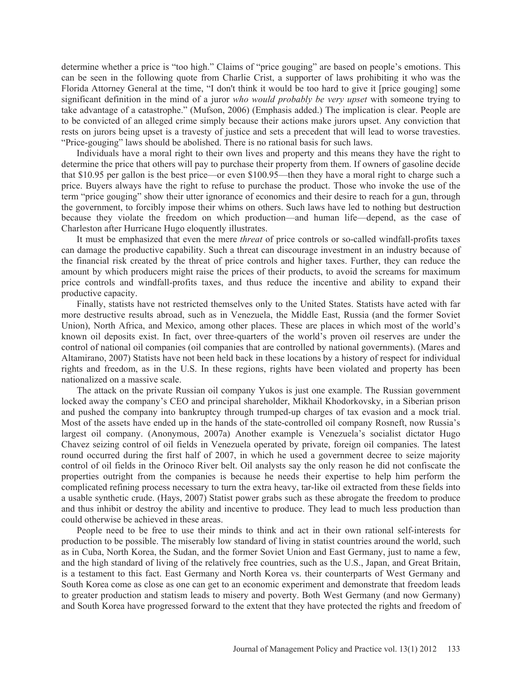determine whether a price is "too high." Claims of "price gouging" are based on people's emotions. This can be seen in the following quote from Charlie Crist, a supporter of laws prohibiting it who was the Florida Attorney General at the time, "I don't think it would be too hard to give it [price gouging] some significant definition in the mind of a juror *who would probably be very upset* with someone trying to take advantage of a catastrophe." (Mufson, 2006) (Emphasis added.) The implication is clear. People are to be convicted of an alleged crime simply because their actions make jurors upset. Any conviction that rests on jurors being upset is a travesty of justice and sets a precedent that will lead to worse travesties. "Price-gouging" laws should be abolished. There is no rational basis for such laws.

Individuals have a moral right to their own lives and property and this means they have the right to determine the price that others will pay to purchase their property from them. If owners of gasoline decide that \$10.95 per gallon is the best price—or even \$100.95—then they have a moral right to charge such a price. Buyers always have the right to refuse to purchase the product. Those who invoke the use of the term "price gouging" show their utter ignorance of economics and their desire to reach for a gun, through the government, to forcibly impose their whims on others. Such laws have led to nothing but destruction because they violate the freedom on which production—and human life—depend, as the case of Charleston after Hurricane Hugo eloquently illustrates.

It must be emphasized that even the mere *threat* of price controls or so-called windfall-profits taxes can damage the productive capability. Such a threat can discourage investment in an industry because of the financial risk created by the threat of price controls and higher taxes. Further, they can reduce the amount by which producers might raise the prices of their products, to avoid the screams for maximum price controls and windfall-profits taxes, and thus reduce the incentive and ability to expand their productive capacity.

Finally, statists have not restricted themselves only to the United States. Statists have acted with far more destructive results abroad, such as in Venezuela, the Middle East, Russia (and the former Soviet Union), North Africa, and Mexico, among other places. These are places in which most of the world's known oil deposits exist. In fact, over three-quarters of the world's proven oil reserves are under the control of national oil companies (oil companies that are controlled by national governments). (Mares and Altamirano, 2007) Statists have not been held back in these locations by a history of respect for individual rights and freedom, as in the U.S. In these regions, rights have been violated and property has been nationalized on a massive scale.

The attack on the private Russian oil company Yukos is just one example. The Russian government locked away the company's CEO and principal shareholder, Mikhail Khodorkovsky, in a Siberian prison and pushed the company into bankruptcy through trumped-up charges of tax evasion and a mock trial. Most of the assets have ended up in the hands of the state-controlled oil company Rosneft, now Russia's largest oil company. (Anonymous, 2007a) Another example is Venezuela's socialist dictator Hugo Chavez seizing control of oil fields in Venezuela operated by private, foreign oil companies. The latest round occurred during the first half of 2007, in which he used a government decree to seize majority control of oil fields in the Orinoco River belt. Oil analysts say the only reason he did not confiscate the properties outright from the companies is because he needs their expertise to help him perform the complicated refining process necessary to turn the extra heavy, tar-like oil extracted from these fields into a usable synthetic crude. (Hays, 2007) Statist power grabs such as these abrogate the freedom to produce and thus inhibit or destroy the ability and incentive to produce. They lead to much less production than could otherwise be achieved in these areas.

People need to be free to use their minds to think and act in their own rational self-interests for production to be possible. The miserably low standard of living in statist countries around the world, such as in Cuba, North Korea, the Sudan, and the former Soviet Union and East Germany, just to name a few, and the high standard of living of the relatively free countries, such as the U.S., Japan, and Great Britain, is a testament to this fact. East Germany and North Korea vs. their counterparts of West Germany and South Korea come as close as one can get to an economic experiment and demonstrate that freedom leads to greater production and statism leads to misery and poverty. Both West Germany (and now Germany) and South Korea have progressed forward to the extent that they have protected the rights and freedom of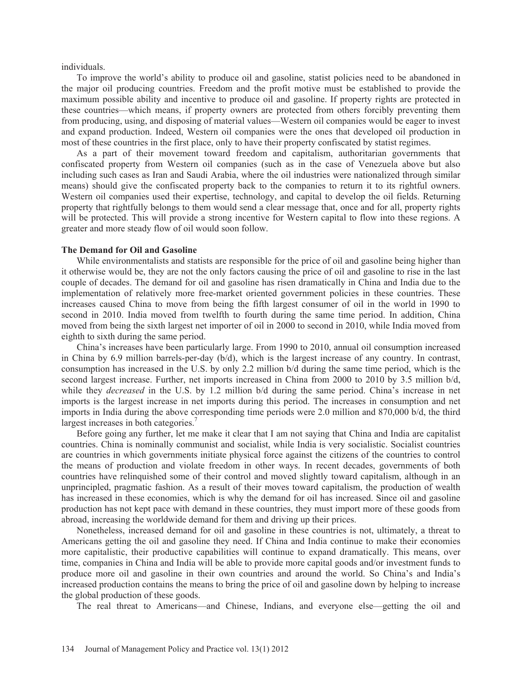individuals.

To improve the world's ability to produce oil and gasoline, statist policies need to be abandoned in the major oil producing countries. Freedom and the profit motive must be established to provide the maximum possible ability and incentive to produce oil and gasoline. If property rights are protected in these countries—which means, if property owners are protected from others forcibly preventing them from producing, using, and disposing of material values—Western oil companies would be eager to invest and expand production. Indeed, Western oil companies were the ones that developed oil production in most of these countries in the first place, only to have their property confiscated by statist regimes.

As a part of their movement toward freedom and capitalism, authoritarian governments that confiscated property from Western oil companies (such as in the case of Venezuela above but also including such cases as Iran and Saudi Arabia, where the oil industries were nationalized through similar means) should give the confiscated property back to the companies to return it to its rightful owners. Western oil companies used their expertise, technology, and capital to develop the oil fields. Returning property that rightfully belongs to them would send a clear message that, once and for all, property rights will be protected. This will provide a strong incentive for Western capital to flow into these regions. A greater and more steady flow of oil would soon follow.

#### **The Demand for Oil and Gasoline**

While environmentalists and statists are responsible for the price of oil and gasoline being higher than it otherwise would be, they are not the only factors causing the price of oil and gasoline to rise in the last couple of decades. The demand for oil and gasoline has risen dramatically in China and India due to the implementation of relatively more free-market oriented government policies in these countries. These increases caused China to move from being the fifth largest consumer of oil in the world in 1990 to second in 2010. India moved from twelfth to fourth during the same time period. In addition, China moved from being the sixth largest net importer of oil in 2000 to second in 2010, while India moved from eighth to sixth during the same period.

China's increases have been particularly large. From 1990 to 2010, annual oil consumption increased in China by 6.9 million barrels-per-day (b/d), which is the largest increase of any country. In contrast, consumption has increased in the U.S. by only 2.2 million b/d during the same time period, which is the second largest increase. Further, net imports increased in China from 2000 to 2010 by 3.5 million b/d, while they *decreased* in the U.S. by 1.2 million b/d during the same period. China's increase in net imports is the largest increase in net imports during this period. The increases in consumption and net imports in India during the above corresponding time periods were 2.0 million and 870,000 b/d, the third largest increases in both categories.<sup>7</sup>

Before going any further, let me make it clear that I am not saying that China and India are capitalist countries. China is nominally communist and socialist, while India is very socialistic. Socialist countries are countries in which governments initiate physical force against the citizens of the countries to control the means of production and violate freedom in other ways. In recent decades, governments of both countries have relinquished some of their control and moved slightly toward capitalism, although in an unprincipled, pragmatic fashion. As a result of their moves toward capitalism, the production of wealth has increased in these economies, which is why the demand for oil has increased. Since oil and gasoline production has not kept pace with demand in these countries, they must import more of these goods from abroad, increasing the worldwide demand for them and driving up their prices.

Nonetheless, increased demand for oil and gasoline in these countries is not, ultimately, a threat to Americans getting the oil and gasoline they need. If China and India continue to make their economies more capitalistic, their productive capabilities will continue to expand dramatically. This means, over time, companies in China and India will be able to provide more capital goods and/or investment funds to produce more oil and gasoline in their own countries and around the world. So China's and India's increased production contains the means to bring the price of oil and gasoline down by helping to increase the global production of these goods.

The real threat to Americans—and Chinese, Indians, and everyone else—getting the oil and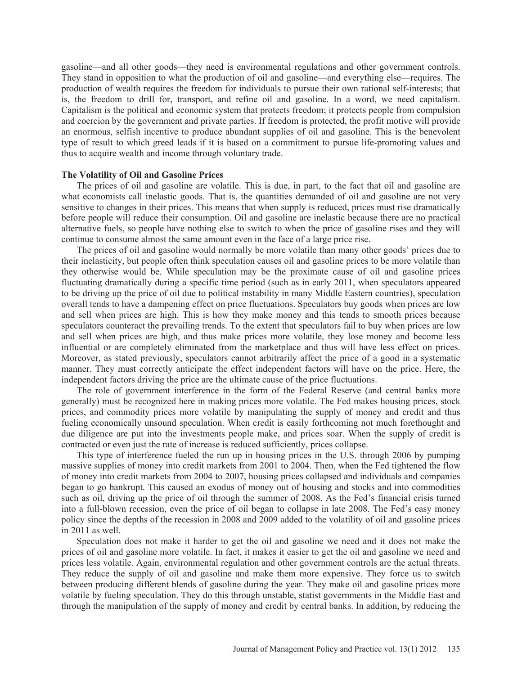gasoline—and all other goods—they need is environmental regulations and other government controls. They stand in opposition to what the production of oil and gasoline—and everything else—requires. The production of wealth requires the freedom for individuals to pursue their own rational self-interests; that is, the freedom to drill for, transport, and refine oil and gasoline. In a word, we need capitalism. Capitalism is the political and economic system that protects freedom; it protects people from compulsion and coercion by the government and private parties. If freedom is protected, the profit motive will provide an enormous, selfish incentive to produce abundant supplies of oil and gasoline. This is the benevolent type of result to which greed leads if it is based on a commitment to pursue life-promoting values and thus to acquire wealth and income through voluntary trade.

#### **The Volatility of Oil and Gasoline Prices**

The prices of oil and gasoline are volatile. This is due, in part, to the fact that oil and gasoline are what economists call inelastic goods. That is, the quantities demanded of oil and gasoline are not very sensitive to changes in their prices. This means that when supply is reduced, prices must rise dramatically before people will reduce their consumption. Oil and gasoline are inelastic because there are no practical alternative fuels, so people have nothing else to switch to when the price of gasoline rises and they will continue to consume almost the same amount even in the face of a large price rise.

The prices of oil and gasoline would normally be more volatile than many other goods' prices due to their inelasticity, but people often think speculation causes oil and gasoline prices to be more volatile than they otherwise would be. While speculation may be the proximate cause of oil and gasoline prices fluctuating dramatically during a specific time period (such as in early 2011, when speculators appeared to be driving up the price of oil due to political instability in many Middle Eastern countries), speculation overall tends to have a dampening effect on price fluctuations. Speculators buy goods when prices are low and sell when prices are high. This is how they make money and this tends to smooth prices because speculators counteract the prevailing trends. To the extent that speculators fail to buy when prices are low and sell when prices are high, and thus make prices more volatile, they lose money and become less influential or are completely eliminated from the marketplace and thus will have less effect on prices. Moreover, as stated previously, speculators cannot arbitrarily affect the price of a good in a systematic manner. They must correctly anticipate the effect independent factors will have on the price. Here, the independent factors driving the price are the ultimate cause of the price fluctuations.

The role of government interference in the form of the Federal Reserve (and central banks more generally) must be recognized here in making prices more volatile. The Fed makes housing prices, stock prices, and commodity prices more volatile by manipulating the supply of money and credit and thus fueling economically unsound speculation. When credit is easily forthcoming not much forethought and due diligence are put into the investments people make, and prices soar. When the supply of credit is contracted or even just the rate of increase is reduced sufficiently, prices collapse.

This type of interference fueled the run up in housing prices in the U.S. through 2006 by pumping massive supplies of money into credit markets from 2001 to 2004. Then, when the Fed tightened the flow of money into credit markets from 2004 to 2007, housing prices collapsed and individuals and companies began to go bankrupt. This caused an exodus of money out of housing and stocks and into commodities such as oil, driving up the price of oil through the summer of 2008. As the Fed's financial crisis turned into a full-blown recession, even the price of oil began to collapse in late 2008. The Fed's easy money policy since the depths of the recession in 2008 and 2009 added to the volatility of oil and gasoline prices in 2011 as well.

Speculation does not make it harder to get the oil and gasoline we need and it does not make the prices of oil and gasoline more volatile. In fact, it makes it easier to get the oil and gasoline we need and prices less volatile. Again, environmental regulation and other government controls are the actual threats. They reduce the supply of oil and gasoline and make them more expensive. They force us to switch between producing different blends of gasoline during the year. They make oil and gasoline prices more volatile by fueling speculation. They do this through unstable, statist governments in the Middle East and through the manipulation of the supply of money and credit by central banks. In addition, by reducing the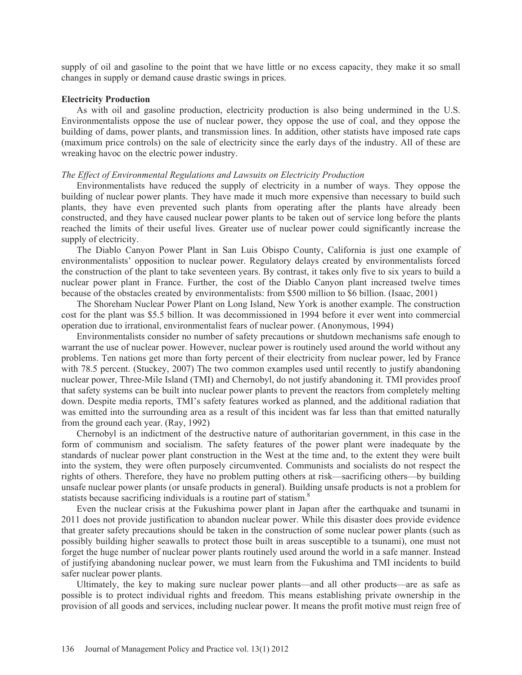supply of oil and gasoline to the point that we have little or no excess capacity, they make it so small changes in supply or demand cause drastic swings in prices.

#### **Electricity Production**

As with oil and gasoline production, electricity production is also being undermined in the U.S. Environmentalists oppose the use of nuclear power, they oppose the use of coal, and they oppose the building of dams, power plants, and transmission lines. In addition, other statists have imposed rate caps (maximum price controls) on the sale of electricity since the early days of the industry. All of these are wreaking havoc on the electric power industry.

#### *The Effect of Environmental Regulations and Lawsuits on Electricity Production*

Environmentalists have reduced the supply of electricity in a number of ways. They oppose the building of nuclear power plants. They have made it much more expensive than necessary to build such plants, they have even prevented such plants from operating after the plants have already been constructed, and they have caused nuclear power plants to be taken out of service long before the plants reached the limits of their useful lives. Greater use of nuclear power could significantly increase the supply of electricity.

The Diablo Canyon Power Plant in San Luis Obispo County, California is just one example of environmentalists' opposition to nuclear power. Regulatory delays created by environmentalists forced the construction of the plant to take seventeen years. By contrast, it takes only five to six years to build a nuclear power plant in France. Further, the cost of the Diablo Canyon plant increased twelve times because of the obstacles created by environmentalists: from \$500 million to \$6 billion. (Isaac, 2001)

The Shoreham Nuclear Power Plant on Long Island, New York is another example. The construction cost for the plant was \$5.5 billion. It was decommissioned in 1994 before it ever went into commercial operation due to irrational, environmentalist fears of nuclear power. (Anonymous, 1994)

Environmentalists consider no number of safety precautions or shutdown mechanisms safe enough to warrant the use of nuclear power. However, nuclear power is routinely used around the world without any problems. Ten nations get more than forty percent of their electricity from nuclear power, led by France with 78.5 percent. (Stuckey, 2007) The two common examples used until recently to justify abandoning nuclear power, Three-Mile Island (TMI) and Chernobyl, do not justify abandoning it. TMI provides proof that safety systems can be built into nuclear power plants to prevent the reactors from completely melting down. Despite media reports, TMI's safety features worked as planned, and the additional radiation that was emitted into the surrounding area as a result of this incident was far less than that emitted naturally from the ground each year. (Ray, 1992)

Chernobyl is an indictment of the destructive nature of authoritarian government, in this case in the form of communism and socialism. The safety features of the power plant were inadequate by the standards of nuclear power plant construction in the West at the time and, to the extent they were built into the system, they were often purposely circumvented. Communists and socialists do not respect the rights of others. Therefore, they have no problem putting others at risk—sacrificing others—by building unsafe nuclear power plants (or unsafe products in general). Building unsafe products is not a problem for statists because sacrificing individuals is a routine part of statism.<sup>8</sup>

Even the nuclear crisis at the Fukushima power plant in Japan after the earthquake and tsunami in 2011 does not provide justification to abandon nuclear power. While this disaster does provide evidence that greater safety precautions should be taken in the construction of some nuclear power plants (such as possibly building higher seawalls to protect those built in areas susceptible to a tsunami), one must not forget the huge number of nuclear power plants routinely used around the world in a safe manner. Instead of justifying abandoning nuclear power, we must learn from the Fukushima and TMI incidents to build safer nuclear power plants.

Ultimately, the key to making sure nuclear power plants—and all other products—are as safe as possible is to protect individual rights and freedom. This means establishing private ownership in the provision of all goods and services, including nuclear power. It means the profit motive must reign free of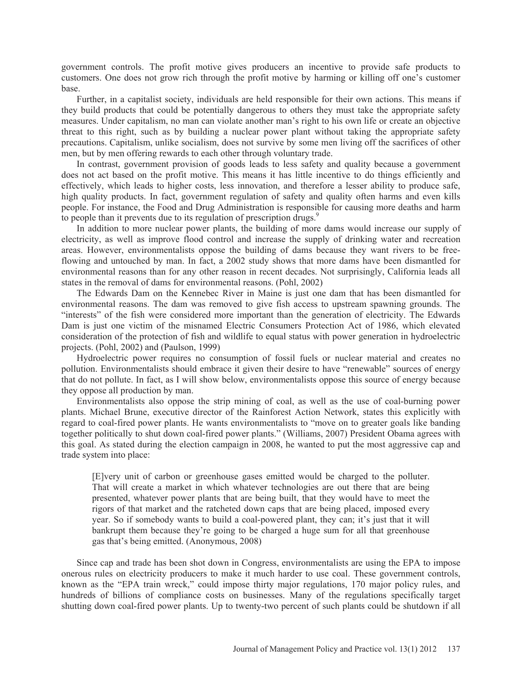government controls. The profit motive gives producers an incentive to provide safe products to customers. One does not grow rich through the profit motive by harming or killing off one's customer base.

Further, in a capitalist society, individuals are held responsible for their own actions. This means if they build products that could be potentially dangerous to others they must take the appropriate safety measures. Under capitalism, no man can violate another man's right to his own life or create an objective threat to this right, such as by building a nuclear power plant without taking the appropriate safety precautions. Capitalism, unlike socialism, does not survive by some men living off the sacrifices of other men, but by men offering rewards to each other through voluntary trade.

In contrast, government provision of goods leads to less safety and quality because a government does not act based on the profit motive. This means it has little incentive to do things efficiently and effectively, which leads to higher costs, less innovation, and therefore a lesser ability to produce safe, high quality products. In fact, government regulation of safety and quality often harms and even kills people. For instance, the Food and Drug Administration is responsible for causing more deaths and harm to people than it prevents due to its regulation of prescription drugs.<sup>9</sup>

In addition to more nuclear power plants, the building of more dams would increase our supply of electricity, as well as improve flood control and increase the supply of drinking water and recreation areas. However, environmentalists oppose the building of dams because they want rivers to be freeflowing and untouched by man. In fact, a 2002 study shows that more dams have been dismantled for environmental reasons than for any other reason in recent decades. Not surprisingly, California leads all states in the removal of dams for environmental reasons. (Pohl, 2002)

The Edwards Dam on the Kennebec River in Maine is just one dam that has been dismantled for environmental reasons. The dam was removed to give fish access to upstream spawning grounds. The "interests" of the fish were considered more important than the generation of electricity. The Edwards Dam is just one victim of the misnamed Electric Consumers Protection Act of 1986, which elevated consideration of the protection of fish and wildlife to equal status with power generation in hydroelectric projects. (Pohl, 2002) and (Paulson, 1999)

Hydroelectric power requires no consumption of fossil fuels or nuclear material and creates no pollution. Environmentalists should embrace it given their desire to have "renewable" sources of energy that do not pollute. In fact, as I will show below, environmentalists oppose this source of energy because they oppose all production by man.

Environmentalists also oppose the strip mining of coal, as well as the use of coal-burning power plants. Michael Brune, executive director of the Rainforest Action Network, states this explicitly with regard to coal-fired power plants. He wants environmentalists to "move on to greater goals like banding together politically to shut down coal-fired power plants." (Williams, 2007) President Obama agrees with this goal. As stated during the election campaign in 2008, he wanted to put the most aggressive cap and trade system into place:

[E]very unit of carbon or greenhouse gases emitted would be charged to the polluter. That will create a market in which whatever technologies are out there that are being presented, whatever power plants that are being built, that they would have to meet the rigors of that market and the ratcheted down caps that are being placed, imposed every year. So if somebody wants to build a coal-powered plant, they can; it's just that it will bankrupt them because they're going to be charged a huge sum for all that greenhouse gas that's being emitted. (Anonymous, 2008)

Since cap and trade has been shot down in Congress, environmentalists are using the EPA to impose onerous rules on electricity producers to make it much harder to use coal. These government controls, known as the "EPA train wreck," could impose thirty major regulations, 170 major policy rules, and hundreds of billions of compliance costs on businesses. Many of the regulations specifically target shutting down coal-fired power plants. Up to twenty-two percent of such plants could be shutdown if all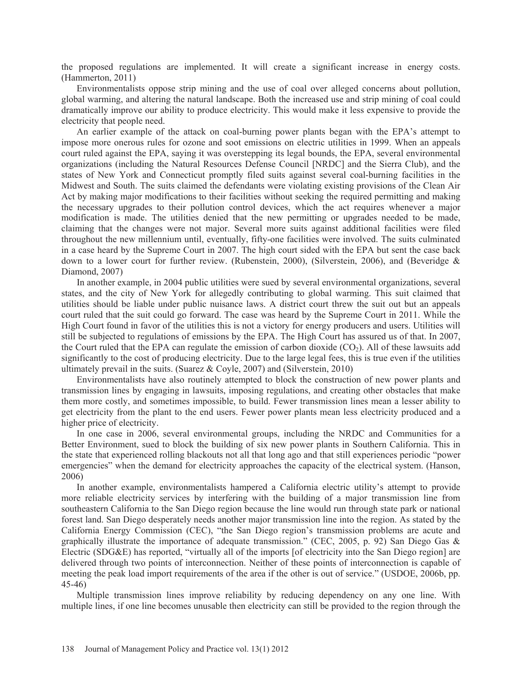the proposed regulations are implemented. It will create a significant increase in energy costs. (Hammerton, 2011)

Environmentalists oppose strip mining and the use of coal over alleged concerns about pollution, global warming, and altering the natural landscape. Both the increased use and strip mining of coal could dramatically improve our ability to produce electricity. This would make it less expensive to provide the electricity that people need.

An earlier example of the attack on coal-burning power plants began with the EPA's attempt to impose more onerous rules for ozone and soot emissions on electric utilities in 1999. When an appeals court ruled against the EPA, saying it was overstepping its legal bounds, the EPA, several environmental organizations (including the Natural Resources Defense Council [NRDC] and the Sierra Club), and the states of New York and Connecticut promptly filed suits against several coal-burning facilities in the Midwest and South. The suits claimed the defendants were violating existing provisions of the Clean Air Act by making major modifications to their facilities without seeking the required permitting and making the necessary upgrades to their pollution control devices, which the act requires whenever a major modification is made. The utilities denied that the new permitting or upgrades needed to be made, claiming that the changes were not major. Several more suits against additional facilities were filed throughout the new millennium until, eventually, fifty-one facilities were involved. The suits culminated in a case heard by the Supreme Court in 2007. The high court sided with the EPA but sent the case back down to a lower court for further review. (Rubenstein, 2000), (Silverstein, 2006), and (Beveridge & Diamond, 2007)

In another example, in 2004 public utilities were sued by several environmental organizations, several states, and the city of New York for allegedly contributing to global warming. This suit claimed that utilities should be liable under public nuisance laws. A district court threw the suit out but an appeals court ruled that the suit could go forward. The case was heard by the Supreme Court in 2011. While the High Court found in favor of the utilities this is not a victory for energy producers and users. Utilities will still be subjected to regulations of emissions by the EPA. The High Court has assured us of that. In 2007, the Court ruled that the EPA can regulate the emission of carbon dioxide  $(CO<sub>2</sub>)$ . All of these lawsuits add significantly to the cost of producing electricity. Due to the large legal fees, this is true even if the utilities ultimately prevail in the suits. (Suarez & Coyle, 2007) and (Silverstein, 2010)

Environmentalists have also routinely attempted to block the construction of new power plants and transmission lines by engaging in lawsuits, imposing regulations, and creating other obstacles that make them more costly, and sometimes impossible, to build. Fewer transmission lines mean a lesser ability to get electricity from the plant to the end users. Fewer power plants mean less electricity produced and a higher price of electricity.

In one case in 2006, several environmental groups, including the NRDC and Communities for a Better Environment, sued to block the building of six new power plants in Southern California. This in the state that experienced rolling blackouts not all that long ago and that still experiences periodic "power emergencies" when the demand for electricity approaches the capacity of the electrical system. (Hanson, 2006)

In another example, environmentalists hampered a California electric utility's attempt to provide more reliable electricity services by interfering with the building of a major transmission line from southeastern California to the San Diego region because the line would run through state park or national forest land. San Diego desperately needs another major transmission line into the region. As stated by the California Energy Commission (CEC), "the San Diego region's transmission problems are acute and graphically illustrate the importance of adequate transmission." (CEC, 2005, p. 92) San Diego Gas & Electric (SDG&E) has reported, "virtually all of the imports [of electricity into the San Diego region] are delivered through two points of interconnection. Neither of these points of interconnection is capable of meeting the peak load import requirements of the area if the other is out of service." (USDOE, 2006b, pp. 45-46)

Multiple transmission lines improve reliability by reducing dependency on any one line. With multiple lines, if one line becomes unusable then electricity can still be provided to the region through the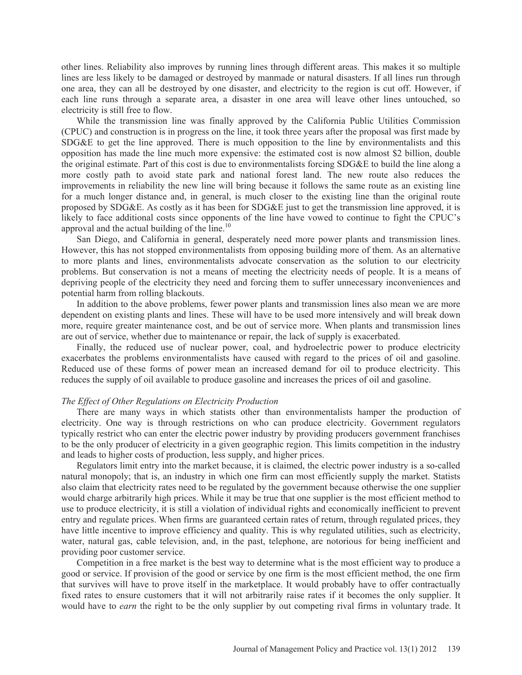other lines. Reliability also improves by running lines through different areas. This makes it so multiple lines are less likely to be damaged or destroyed by manmade or natural disasters. If all lines run through one area, they can all be destroyed by one disaster, and electricity to the region is cut off. However, if each line runs through a separate area, a disaster in one area will leave other lines untouched, so electricity is still free to flow.

While the transmission line was finally approved by the California Public Utilities Commission (CPUC) and construction is in progress on the line, it took three years after the proposal was first made by SDG&E to get the line approved. There is much opposition to the line by environmentalists and this opposition has made the line much more expensive: the estimated cost is now almost \$2 billion, double the original estimate. Part of this cost is due to environmentalists forcing SDG&E to build the line along a more costly path to avoid state park and national forest land. The new route also reduces the improvements in reliability the new line will bring because it follows the same route as an existing line for a much longer distance and, in general, is much closer to the existing line than the original route proposed by SDG&E. As costly as it has been for SDG&E just to get the transmission line approved, it is likely to face additional costs since opponents of the line have vowed to continue to fight the CPUC's approval and the actual building of the line.<sup>10</sup>

San Diego, and California in general, desperately need more power plants and transmission lines. However, this has not stopped environmentalists from opposing building more of them. As an alternative to more plants and lines, environmentalists advocate conservation as the solution to our electricity problems. But conservation is not a means of meeting the electricity needs of people. It is a means of depriving people of the electricity they need and forcing them to suffer unnecessary inconveniences and potential harm from rolling blackouts.

In addition to the above problems, fewer power plants and transmission lines also mean we are more dependent on existing plants and lines. These will have to be used more intensively and will break down more, require greater maintenance cost, and be out of service more. When plants and transmission lines are out of service, whether due to maintenance or repair, the lack of supply is exacerbated.

Finally, the reduced use of nuclear power, coal, and hydroelectric power to produce electricity exacerbates the problems environmentalists have caused with regard to the prices of oil and gasoline. Reduced use of these forms of power mean an increased demand for oil to produce electricity. This reduces the supply of oil available to produce gasoline and increases the prices of oil and gasoline.

#### *The Effect of Other Regulations on Electricity Production*

There are many ways in which statists other than environmentalists hamper the production of electricity. One way is through restrictions on who can produce electricity. Government regulators typically restrict who can enter the electric power industry by providing producers government franchises to be the only producer of electricity in a given geographic region. This limits competition in the industry and leads to higher costs of production, less supply, and higher prices.

Regulators limit entry into the market because, it is claimed, the electric power industry is a so-called natural monopoly; that is, an industry in which one firm can most efficiently supply the market. Statists also claim that electricity rates need to be regulated by the government because otherwise the one supplier would charge arbitrarily high prices. While it may be true that one supplier is the most efficient method to use to produce electricity, it is still a violation of individual rights and economically inefficient to prevent entry and regulate prices. When firms are guaranteed certain rates of return, through regulated prices, they have little incentive to improve efficiency and quality. This is why regulated utilities, such as electricity, water, natural gas, cable television, and, in the past, telephone, are notorious for being inefficient and providing poor customer service.

Competition in a free market is the best way to determine what is the most efficient way to produce a good or service. If provision of the good or service by one firm is the most efficient method, the one firm that survives will have to prove itself in the marketplace. It would probably have to offer contractually fixed rates to ensure customers that it will not arbitrarily raise rates if it becomes the only supplier. It would have to *earn* the right to be the only supplier by out competing rival firms in voluntary trade. It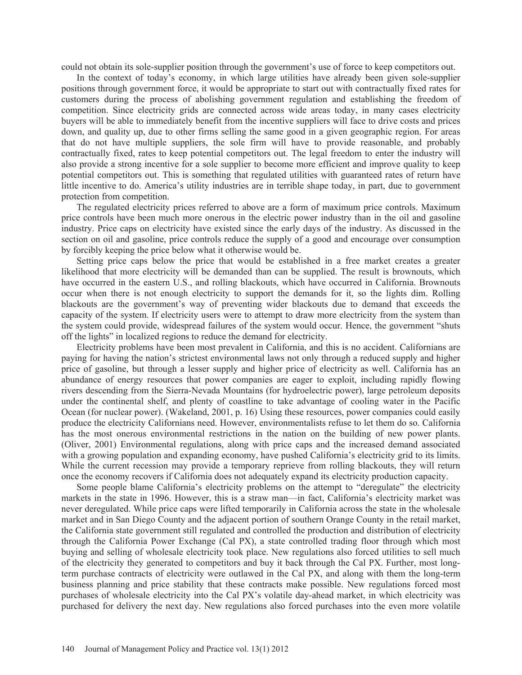could not obtain its sole-supplier position through the government's use of force to keep competitors out.

In the context of today's economy, in which large utilities have already been given sole-supplier positions through government force, it would be appropriate to start out with contractually fixed rates for customers during the process of abolishing government regulation and establishing the freedom of competition. Since electricity grids are connected across wide areas today, in many cases electricity buyers will be able to immediately benefit from the incentive suppliers will face to drive costs and prices down, and quality up, due to other firms selling the same good in a given geographic region. For areas that do not have multiple suppliers, the sole firm will have to provide reasonable, and probably contractually fixed, rates to keep potential competitors out. The legal freedom to enter the industry will also provide a strong incentive for a sole supplier to become more efficient and improve quality to keep potential competitors out. This is something that regulated utilities with guaranteed rates of return have little incentive to do. America's utility industries are in terrible shape today, in part, due to government protection from competition.

The regulated electricity prices referred to above are a form of maximum price controls. Maximum price controls have been much more onerous in the electric power industry than in the oil and gasoline industry. Price caps on electricity have existed since the early days of the industry. As discussed in the section on oil and gasoline, price controls reduce the supply of a good and encourage over consumption by forcibly keeping the price below what it otherwise would be.

Setting price caps below the price that would be established in a free market creates a greater likelihood that more electricity will be demanded than can be supplied. The result is brownouts, which have occurred in the eastern U.S., and rolling blackouts, which have occurred in California. Brownouts occur when there is not enough electricity to support the demands for it, so the lights dim. Rolling blackouts are the government's way of preventing wider blackouts due to demand that exceeds the capacity of the system. If electricity users were to attempt to draw more electricity from the system than the system could provide, widespread failures of the system would occur. Hence, the government "shuts off the lights" in localized regions to reduce the demand for electricity.

Electricity problems have been most prevalent in California, and this is no accident. Californians are paying for having the nation's strictest environmental laws not only through a reduced supply and higher price of gasoline, but through a lesser supply and higher price of electricity as well. California has an abundance of energy resources that power companies are eager to exploit, including rapidly flowing rivers descending from the Sierra-Nevada Mountains (for hydroelectric power), large petroleum deposits under the continental shelf, and plenty of coastline to take advantage of cooling water in the Pacific Ocean (for nuclear power). (Wakeland, 2001, p. 16) Using these resources, power companies could easily produce the electricity Californians need. However, environmentalists refuse to let them do so. California has the most onerous environmental restrictions in the nation on the building of new power plants. (Oliver, 2001) Environmental regulations, along with price caps and the increased demand associated with a growing population and expanding economy, have pushed California's electricity grid to its limits. While the current recession may provide a temporary reprieve from rolling blackouts, they will return once the economy recovers if California does not adequately expand its electricity production capacity.

Some people blame California's electricity problems on the attempt to "deregulate" the electricity markets in the state in 1996. However, this is a straw man—in fact, California's electricity market was never deregulated. While price caps were lifted temporarily in California across the state in the wholesale market and in San Diego County and the adjacent portion of southern Orange County in the retail market, the California state government still regulated and controlled the production and distribution of electricity through the California Power Exchange (Cal PX), a state controlled trading floor through which most buying and selling of wholesale electricity took place. New regulations also forced utilities to sell much of the electricity they generated to competitors and buy it back through the Cal PX. Further, most longterm purchase contracts of electricity were outlawed in the Cal PX, and along with them the long-term business planning and price stability that these contracts make possible. New regulations forced most purchases of wholesale electricity into the Cal PX's volatile day-ahead market, in which electricity was purchased for delivery the next day. New regulations also forced purchases into the even more volatile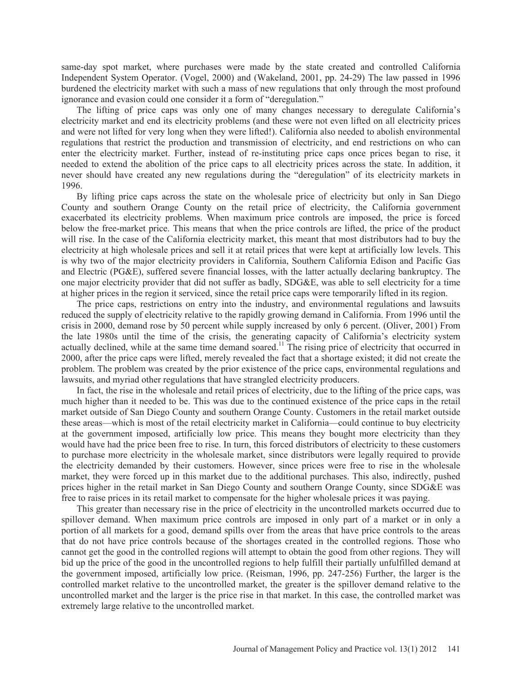same-day spot market, where purchases were made by the state created and controlled California Independent System Operator. (Vogel, 2000) and (Wakeland, 2001, pp. 24-29) The law passed in 1996 burdened the electricity market with such a mass of new regulations that only through the most profound ignorance and evasion could one consider it a form of "deregulation."

The lifting of price caps was only one of many changes necessary to deregulate California's electricity market and end its electricity problems (and these were not even lifted on all electricity prices and were not lifted for very long when they were lifted!). California also needed to abolish environmental regulations that restrict the production and transmission of electricity, and end restrictions on who can enter the electricity market. Further, instead of re-instituting price caps once prices began to rise, it needed to extend the abolition of the price caps to all electricity prices across the state. In addition, it never should have created any new regulations during the "deregulation" of its electricity markets in 1996.

By lifting price caps across the state on the wholesale price of electricity but only in San Diego County and southern Orange County on the retail price of electricity, the California government exacerbated its electricity problems. When maximum price controls are imposed, the price is forced below the free-market price. This means that when the price controls are lifted, the price of the product will rise. In the case of the California electricity market, this meant that most distributors had to buy the electricity at high wholesale prices and sell it at retail prices that were kept at artificially low levels. This is why two of the major electricity providers in California, Southern California Edison and Pacific Gas and Electric (PG&E), suffered severe financial losses, with the latter actually declaring bankruptcy. The one major electricity provider that did not suffer as badly, SDG&E, was able to sell electricity for a time at higher prices in the region it serviced, since the retail price caps were temporarily lifted in its region.

The price caps, restrictions on entry into the industry, and environmental regulations and lawsuits reduced the supply of electricity relative to the rapidly growing demand in California. From 1996 until the crisis in 2000, demand rose by 50 percent while supply increased by only 6 percent. (Oliver, 2001) From the late 1980s until the time of the crisis, the generating capacity of California's electricity system actually declined, while at the same time demand soared.<sup>11</sup> The rising price of electricity that occurred in 2000, after the price caps were lifted, merely revealed the fact that a shortage existed; it did not create the problem. The problem was created by the prior existence of the price caps, environmental regulations and lawsuits, and myriad other regulations that have strangled electricity producers.

In fact, the rise in the wholesale and retail prices of electricity, due to the lifting of the price caps, was much higher than it needed to be. This was due to the continued existence of the price caps in the retail market outside of San Diego County and southern Orange County. Customers in the retail market outside these areas—which is most of the retail electricity market in California—could continue to buy electricity at the government imposed, artificially low price. This means they bought more electricity than they would have had the price been free to rise. In turn, this forced distributors of electricity to these customers to purchase more electricity in the wholesale market, since distributors were legally required to provide the electricity demanded by their customers. However, since prices were free to rise in the wholesale market, they were forced up in this market due to the additional purchases. This also, indirectly, pushed prices higher in the retail market in San Diego County and southern Orange County, since SDG&E was free to raise prices in its retail market to compensate for the higher wholesale prices it was paying.

This greater than necessary rise in the price of electricity in the uncontrolled markets occurred due to spillover demand. When maximum price controls are imposed in only part of a market or in only a portion of all markets for a good, demand spills over from the areas that have price controls to the areas that do not have price controls because of the shortages created in the controlled regions. Those who cannot get the good in the controlled regions will attempt to obtain the good from other regions. They will bid up the price of the good in the uncontrolled regions to help fulfill their partially unfulfilled demand at the government imposed, artificially low price. (Reisman, 1996, pp. 247-256) Further, the larger is the controlled market relative to the uncontrolled market, the greater is the spillover demand relative to the uncontrolled market and the larger is the price rise in that market. In this case, the controlled market was extremely large relative to the uncontrolled market.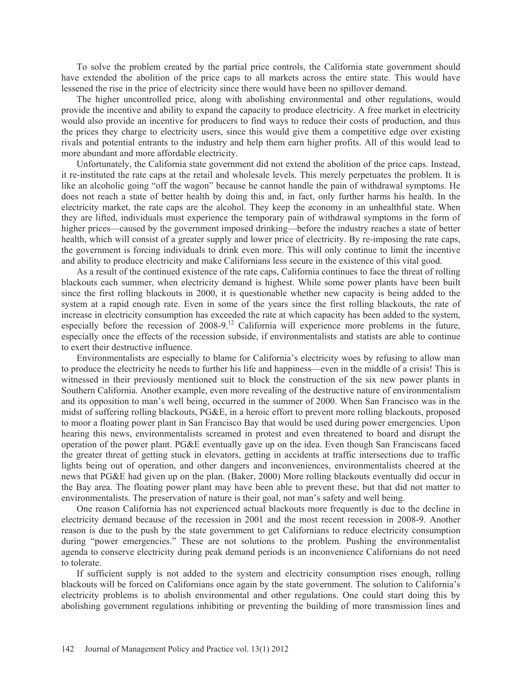To solve the problem created by the partial price controls, the California state government should have extended the abolition of the price caps to all markets across the entire state. This would have lessened the rise in the price of electricity since there would have been no spillover demand.

The higher uncontrolled price, along with abolishing environmental and other regulations, would provide the incentive and ability to expand the capacity to produce electricity. A free market in electricity would also provide an incentive for producers to find ways to reduce their costs of production, and thus the prices they charge to electricity users, since this would give them a competitive edge over existing rivals and potential entrants to the industry and help them earn higher profits. All of this would lead to more abundant and more affordable electricity.

Unfortunately, the California state government did not extend the abolition of the price caps. Instead, it re-instituted the rate caps at the retail and wholesale levels. This merely perpetuates the problem. It is like an alcoholic going "off the wagon" because he cannot handle the pain of withdrawal symptoms. He does not reach a state of better health by doing this and, in fact, only further harms his health. In the electricity market, the rate caps are the alcohol. They keep the economy in an unhealthful state. When they are lifted, individuals must experience the temporary pain of withdrawal symptoms in the form of higher prices—caused by the government imposed drinking—before the industry reaches a state of better health, which will consist of a greater supply and lower price of electricity. By re-imposing the rate caps, the government is forcing individuals to drink even more. This will only continue to limit the incentive and ability to produce electricity and make Californians less secure in the existence of this vital good.

As a result of the continued existence of the rate caps, California continues to face the threat of rolling blackouts each summer, when electricity demand is highest. While some power plants have been built since the first rolling blackouts in 2000, it is questionable whether new capacity is being added to the system at a rapid enough rate. Even in some of the years since the first rolling blackouts, the rate of increase in electricity consumption has exceeded the rate at which capacity has been added to the system, especially before the recession of 2008-9.<sup>12</sup> California will experience more problems in the future, especially once the effects of the recession subside, if environmentalists and statists are able to continue to exert their destructive influence.

Environmentalists are especially to blame for California's electricity woes by refusing to allow man to produce the electricity he needs to further his life and happiness—even in the middle of a crisis! This is witnessed in their previously mentioned suit to block the construction of the six new power plants in Southern California. Another example, even more revealing of the destructive nature of environmentalism and its opposition to man's well being, occurred in the summer of 2000. When San Francisco was in the midst of suffering rolling blackouts, PG&E, in a heroic effort to prevent more rolling blackouts, proposed to moor a floating power plant in San Francisco Bay that would be used during power emergencies. Upon hearing this news, environmentalists screamed in protest and even threatened to board and disrupt the operation of the power plant. PG&E eventually gave up on the idea. Even though San Franciscans faced the greater threat of getting stuck in elevators, getting in accidents at traffic intersections due to traffic lights being out of operation, and other dangers and inconveniences, environmentalists cheered at the news that PG&E had given up on the plan. (Baker, 2000) More rolling blackouts eventually did occur in the Bay area. The floating power plant may have been able to prevent these, but that did not matter to environmentalists. The preservation of nature is their goal, not man's safety and well being.

One reason California has not experienced actual blackouts more frequently is due to the decline in electricity demand because of the recession in 2001 and the most recent recession in 2008-9. Another reason is due to the push by the state government to get Californians to reduce electricity consumption during "power emergencies." These are not solutions to the problem. Pushing the environmentalist agenda to conserve electricity during peak demand periods is an inconvenience Californians do not need to tolerate.

If sufficient supply is not added to the system and electricity consumption rises enough, rolling blackouts will be forced on Californians once again by the state government. The solution to California's electricity problems is to abolish environmental and other regulations. One could start doing this by abolishing government regulations inhibiting or preventing the building of more transmission lines and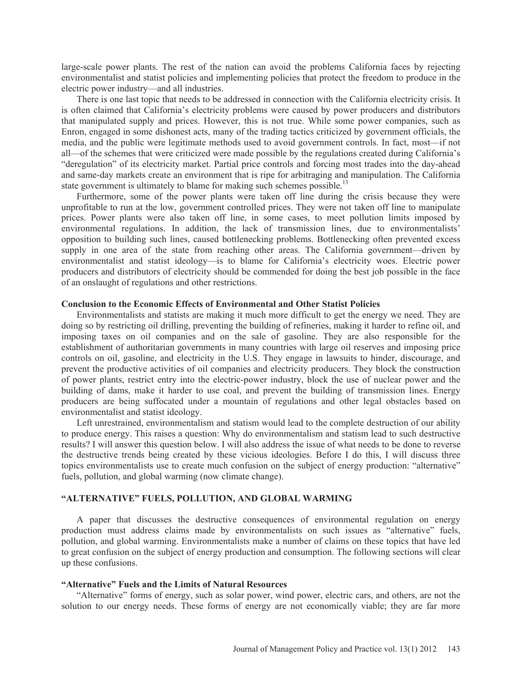large-scale power plants. The rest of the nation can avoid the problems California faces by rejecting environmentalist and statist policies and implementing policies that protect the freedom to produce in the electric power industry—and all industries.

There is one last topic that needs to be addressed in connection with the California electricity crisis. It is often claimed that California's electricity problems were caused by power producers and distributors that manipulated supply and prices. However, this is not true. While some power companies, such as Enron, engaged in some dishonest acts, many of the trading tactics criticized by government officials, the media, and the public were legitimate methods used to avoid government controls. In fact, most—if not all—of the schemes that were criticized were made possible by the regulations created during California's "deregulation" of its electricity market. Partial price controls and forcing most trades into the day-ahead and same-day markets create an environment that is ripe for arbitraging and manipulation. The California state government is ultimately to blame for making such schemes possible.<sup>13</sup>

Furthermore, some of the power plants were taken off line during the crisis because they were unprofitable to run at the low, government controlled prices. They were not taken off line to manipulate prices. Power plants were also taken off line, in some cases, to meet pollution limits imposed by environmental regulations. In addition, the lack of transmission lines, due to environmentalists' opposition to building such lines, caused bottlenecking problems. Bottlenecking often prevented excess supply in one area of the state from reaching other areas. The California government—driven by environmentalist and statist ideology—is to blame for California's electricity woes. Electric power producers and distributors of electricity should be commended for doing the best job possible in the face of an onslaught of regulations and other restrictions.

## **Conclusion to the Economic Effects of Environmental and Other Statist Policies**

Environmentalists and statists are making it much more difficult to get the energy we need. They are doing so by restricting oil drilling, preventing the building of refineries, making it harder to refine oil, and imposing taxes on oil companies and on the sale of gasoline. They are also responsible for the establishment of authoritarian governments in many countries with large oil reserves and imposing price controls on oil, gasoline, and electricity in the U.S. They engage in lawsuits to hinder, discourage, and prevent the productive activities of oil companies and electricity producers. They block the construction of power plants, restrict entry into the electric-power industry, block the use of nuclear power and the building of dams, make it harder to use coal, and prevent the building of transmission lines. Energy producers are being suffocated under a mountain of regulations and other legal obstacles based on environmentalist and statist ideology.

Left unrestrained, environmentalism and statism would lead to the complete destruction of our ability to produce energy. This raises a question: Why do environmentalism and statism lead to such destructive results? I will answer this question below. I will also address the issue of what needs to be done to reverse the destructive trends being created by these vicious ideologies. Before I do this, I will discuss three topics environmentalists use to create much confusion on the subject of energy production: "alternative" fuels, pollution, and global warming (now climate change).

## **"ALTERNATIVE" FUELS, POLLUTION, AND GLOBAL WARMING**

A paper that discusses the destructive consequences of environmental regulation on energy production must address claims made by environmentalists on such issues as "alternative" fuels, pollution, and global warming. Environmentalists make a number of claims on these topics that have led to great confusion on the subject of energy production and consumption. The following sections will clear up these confusions.

#### **"Alternative" Fuels and the Limits of Natural Resources**

"Alternative" forms of energy, such as solar power, wind power, electric cars, and others, are not the solution to our energy needs. These forms of energy are not economically viable; they are far more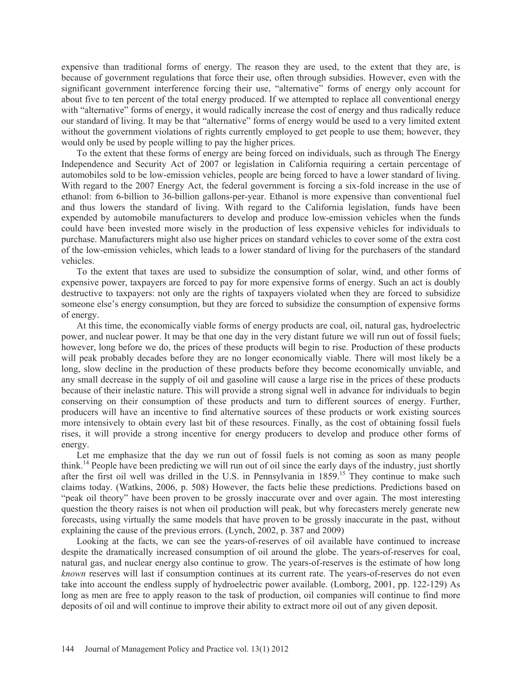expensive than traditional forms of energy. The reason they are used, to the extent that they are, is because of government regulations that force their use, often through subsidies. However, even with the significant government interference forcing their use, "alternative" forms of energy only account for about five to ten percent of the total energy produced. If we attempted to replace all conventional energy with "alternative" forms of energy, it would radically increase the cost of energy and thus radically reduce our standard of living. It may be that "alternative" forms of energy would be used to a very limited extent without the government violations of rights currently employed to get people to use them; however, they would only be used by people willing to pay the higher prices.

To the extent that these forms of energy are being forced on individuals, such as through The Energy Independence and Security Act of 2007 or legislation in California requiring a certain percentage of automobiles sold to be low-emission vehicles, people are being forced to have a lower standard of living. With regard to the 2007 Energy Act, the federal government is forcing a six-fold increase in the use of ethanol: from 6-billion to 36-billion gallons-per-year. Ethanol is more expensive than conventional fuel and thus lowers the standard of living. With regard to the California legislation, funds have been expended by automobile manufacturers to develop and produce low-emission vehicles when the funds could have been invested more wisely in the production of less expensive vehicles for individuals to purchase. Manufacturers might also use higher prices on standard vehicles to cover some of the extra cost of the low-emission vehicles, which leads to a lower standard of living for the purchasers of the standard vehicles.

To the extent that taxes are used to subsidize the consumption of solar, wind, and other forms of expensive power, taxpayers are forced to pay for more expensive forms of energy. Such an act is doubly destructive to taxpayers: not only are the rights of taxpayers violated when they are forced to subsidize someone else's energy consumption, but they are forced to subsidize the consumption of expensive forms of energy.

At this time, the economically viable forms of energy products are coal, oil, natural gas, hydroelectric power, and nuclear power. It may be that one day in the very distant future we will run out of fossil fuels; however, long before we do, the prices of these products will begin to rise. Production of these products will peak probably decades before they are no longer economically viable. There will most likely be a long, slow decline in the production of these products before they become economically unviable, and any small decrease in the supply of oil and gasoline will cause a large rise in the prices of these products because of their inelastic nature. This will provide a strong signal well in advance for individuals to begin conserving on their consumption of these products and turn to different sources of energy. Further, producers will have an incentive to find alternative sources of these products or work existing sources more intensively to obtain every last bit of these resources. Finally, as the cost of obtaining fossil fuels rises, it will provide a strong incentive for energy producers to develop and produce other forms of energy.

Let me emphasize that the day we run out of fossil fuels is not coming as soon as many people think.<sup>14</sup> People have been predicting we will run out of oil since the early days of the industry, just shortly after the first oil well was drilled in the U.S. in Pennsylvania in 1859.<sup>15</sup> They continue to make such claims today. (Watkins, 2006, p. 508) However, the facts belie these predictions. Predictions based on "peak oil theory" have been proven to be grossly inaccurate over and over again. The most interesting question the theory raises is not when oil production will peak, but why forecasters merely generate new forecasts, using virtually the same models that have proven to be grossly inaccurate in the past, without explaining the cause of the previous errors. (Lynch, 2002, p. 387 and 2009)

Looking at the facts, we can see the years-of-reserves of oil available have continued to increase despite the dramatically increased consumption of oil around the globe. The years-of-reserves for coal, natural gas, and nuclear energy also continue to grow. The years-of-reserves is the estimate of how long *known* reserves will last if consumption continues at its current rate. The years-of-reserves do not even take into account the endless supply of hydroelectric power available. (Lomborg, 2001, pp. 122-129) As long as men are free to apply reason to the task of production, oil companies will continue to find more deposits of oil and will continue to improve their ability to extract more oil out of any given deposit.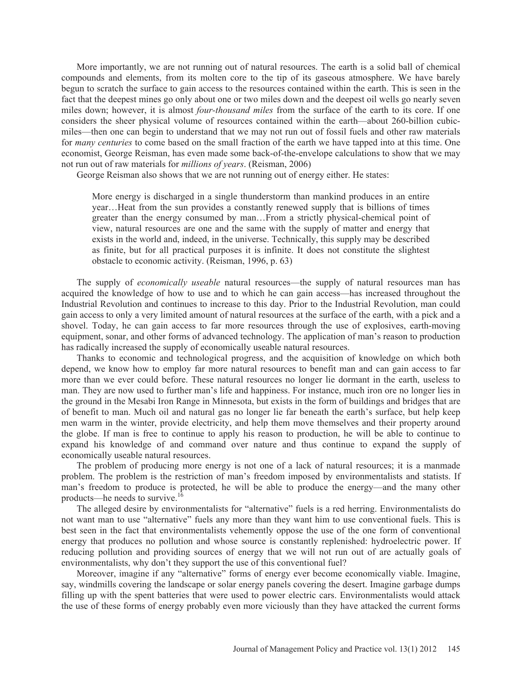More importantly, we are not running out of natural resources. The earth is a solid ball of chemical compounds and elements, from its molten core to the tip of its gaseous atmosphere. We have barely begun to scratch the surface to gain access to the resources contained within the earth. This is seen in the fact that the deepest mines go only about one or two miles down and the deepest oil wells go nearly seven miles down; however, it is almost *four-thousand miles* from the surface of the earth to its core. If one considers the sheer physical volume of resources contained within the earth—about 260-billion cubicmiles—then one can begin to understand that we may not run out of fossil fuels and other raw materials for *many centuries* to come based on the small fraction of the earth we have tapped into at this time. One economist, George Reisman, has even made some back-of-the-envelope calculations to show that we may not run out of raw materials for *millions of years*. (Reisman, 2006)

George Reisman also shows that we are not running out of energy either. He states:

More energy is discharged in a single thunderstorm than mankind produces in an entire year…Heat from the sun provides a constantly renewed supply that is billions of times greater than the energy consumed by man…From a strictly physical-chemical point of view, natural resources are one and the same with the supply of matter and energy that exists in the world and, indeed, in the universe. Technically, this supply may be described as finite, but for all practical purposes it is infinite. It does not constitute the slightest obstacle to economic activity. (Reisman, 1996, p. 63)

The supply of *economically useable* natural resources—the supply of natural resources man has acquired the knowledge of how to use and to which he can gain access—has increased throughout the Industrial Revolution and continues to increase to this day. Prior to the Industrial Revolution, man could gain access to only a very limited amount of natural resources at the surface of the earth, with a pick and a shovel. Today, he can gain access to far more resources through the use of explosives, earth-moving equipment, sonar, and other forms of advanced technology. The application of man's reason to production has radically increased the supply of economically useable natural resources.

Thanks to economic and technological progress, and the acquisition of knowledge on which both depend, we know how to employ far more natural resources to benefit man and can gain access to far more than we ever could before. These natural resources no longer lie dormant in the earth, useless to man. They are now used to further man's life and happiness. For instance, much iron ore no longer lies in the ground in the Mesabi Iron Range in Minnesota, but exists in the form of buildings and bridges that are of benefit to man. Much oil and natural gas no longer lie far beneath the earth's surface, but help keep men warm in the winter, provide electricity, and help them move themselves and their property around the globe. If man is free to continue to apply his reason to production, he will be able to continue to expand his knowledge of and command over nature and thus continue to expand the supply of economically useable natural resources.

The problem of producing more energy is not one of a lack of natural resources; it is a manmade problem. The problem is the restriction of man's freedom imposed by environmentalists and statists. If man's freedom to produce is protected, he will be able to produce the energy—and the many other products—he needs to survive.<sup>16</sup>

The alleged desire by environmentalists for "alternative" fuels is a red herring. Environmentalists do not want man to use "alternative" fuels any more than they want him to use conventional fuels. This is best seen in the fact that environmentalists vehemently oppose the use of the one form of conventional energy that produces no pollution and whose source is constantly replenished: hydroelectric power. If reducing pollution and providing sources of energy that we will not run out of are actually goals of environmentalists, why don't they support the use of this conventional fuel?

Moreover, imagine if any "alternative" forms of energy ever become economically viable. Imagine, say, windmills covering the landscape or solar energy panels covering the desert. Imagine garbage dumps filling up with the spent batteries that were used to power electric cars. Environmentalists would attack the use of these forms of energy probably even more viciously than they have attacked the current forms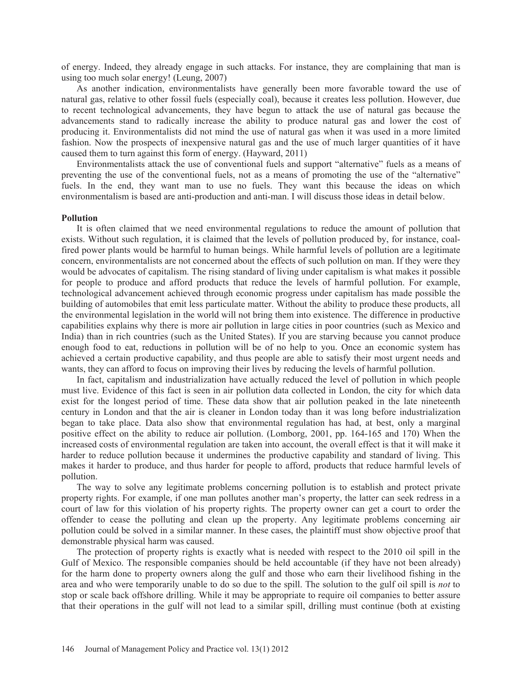of energy. Indeed, they already engage in such attacks. For instance, they are complaining that man is using too much solar energy! (Leung, 2007)

As another indication, environmentalists have generally been more favorable toward the use of natural gas, relative to other fossil fuels (especially coal), because it creates less pollution. However, due to recent technological advancements, they have begun to attack the use of natural gas because the advancements stand to radically increase the ability to produce natural gas and lower the cost of producing it. Environmentalists did not mind the use of natural gas when it was used in a more limited fashion. Now the prospects of inexpensive natural gas and the use of much larger quantities of it have caused them to turn against this form of energy. (Hayward, 2011)

Environmentalists attack the use of conventional fuels and support "alternative" fuels as a means of preventing the use of the conventional fuels, not as a means of promoting the use of the "alternative" fuels. In the end, they want man to use no fuels. They want this because the ideas on which environmentalism is based are anti-production and anti-man. I will discuss those ideas in detail below.

#### **Pollution**

It is often claimed that we need environmental regulations to reduce the amount of pollution that exists. Without such regulation, it is claimed that the levels of pollution produced by, for instance, coalfired power plants would be harmful to human beings. While harmful levels of pollution are a legitimate concern, environmentalists are not concerned about the effects of such pollution on man. If they were they would be advocates of capitalism. The rising standard of living under capitalism is what makes it possible for people to produce and afford products that reduce the levels of harmful pollution. For example, technological advancement achieved through economic progress under capitalism has made possible the building of automobiles that emit less particulate matter. Without the ability to produce these products, all the environmental legislation in the world will not bring them into existence. The difference in productive capabilities explains why there is more air pollution in large cities in poor countries (such as Mexico and India) than in rich countries (such as the United States). If you are starving because you cannot produce enough food to eat, reductions in pollution will be of no help to you. Once an economic system has achieved a certain productive capability, and thus people are able to satisfy their most urgent needs and wants, they can afford to focus on improving their lives by reducing the levels of harmful pollution.

In fact, capitalism and industrialization have actually reduced the level of pollution in which people must live. Evidence of this fact is seen in air pollution data collected in London, the city for which data exist for the longest period of time. These data show that air pollution peaked in the late nineteenth century in London and that the air is cleaner in London today than it was long before industrialization began to take place. Data also show that environmental regulation has had, at best, only a marginal positive effect on the ability to reduce air pollution. (Lomborg, 2001, pp. 164-165 and 170) When the increased costs of environmental regulation are taken into account, the overall effect is that it will make it harder to reduce pollution because it undermines the productive capability and standard of living. This makes it harder to produce, and thus harder for people to afford, products that reduce harmful levels of pollution.

The way to solve any legitimate problems concerning pollution is to establish and protect private property rights. For example, if one man pollutes another man's property, the latter can seek redress in a court of law for this violation of his property rights. The property owner can get a court to order the offender to cease the polluting and clean up the property. Any legitimate problems concerning air pollution could be solved in a similar manner. In these cases, the plaintiff must show objective proof that demonstrable physical harm was caused.

The protection of property rights is exactly what is needed with respect to the 2010 oil spill in the Gulf of Mexico. The responsible companies should be held accountable (if they have not been already) for the harm done to property owners along the gulf and those who earn their livelihood fishing in the area and who were temporarily unable to do so due to the spill. The solution to the gulf oil spill is *not* to stop or scale back offshore drilling. While it may be appropriate to require oil companies to better assure that their operations in the gulf will not lead to a similar spill, drilling must continue (both at existing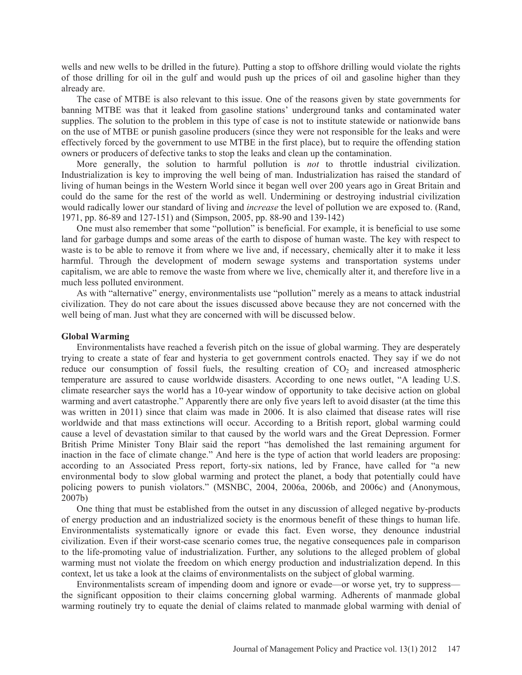wells and new wells to be drilled in the future). Putting a stop to offshore drilling would violate the rights of those drilling for oil in the gulf and would push up the prices of oil and gasoline higher than they already are.

The case of MTBE is also relevant to this issue. One of the reasons given by state governments for banning MTBE was that it leaked from gasoline stations' underground tanks and contaminated water supplies. The solution to the problem in this type of case is not to institute statewide or nationwide bans on the use of MTBE or punish gasoline producers (since they were not responsible for the leaks and were effectively forced by the government to use MTBE in the first place), but to require the offending station owners or producers of defective tanks to stop the leaks and clean up the contamination.

More generally, the solution to harmful pollution is *not* to throttle industrial civilization. Industrialization is key to improving the well being of man. Industrialization has raised the standard of living of human beings in the Western World since it began well over 200 years ago in Great Britain and could do the same for the rest of the world as well. Undermining or destroying industrial civilization would radically lower our standard of living and *increase* the level of pollution we are exposed to. (Rand, 1971, pp. 86-89 and 127-151) and (Simpson, 2005, pp. 88-90 and 139-142)

One must also remember that some "pollution" is beneficial. For example, it is beneficial to use some land for garbage dumps and some areas of the earth to dispose of human waste. The key with respect to waste is to be able to remove it from where we live and, if necessary, chemically alter it to make it less harmful. Through the development of modern sewage systems and transportation systems under capitalism, we are able to remove the waste from where we live, chemically alter it, and therefore live in a much less polluted environment.

As with "alternative" energy, environmentalists use "pollution" merely as a means to attack industrial civilization. They do not care about the issues discussed above because they are not concerned with the well being of man. Just what they are concerned with will be discussed below.

#### **Global Warming**

Environmentalists have reached a feverish pitch on the issue of global warming. They are desperately trying to create a state of fear and hysteria to get government controls enacted. They say if we do not reduce our consumption of fossil fuels, the resulting creation of  $CO<sub>2</sub>$  and increased atmospheric temperature are assured to cause worldwide disasters. According to one news outlet, "A leading U.S. climate researcher says the world has a 10-year window of opportunity to take decisive action on global warming and avert catastrophe." Apparently there are only five years left to avoid disaster (at the time this was written in 2011) since that claim was made in 2006. It is also claimed that disease rates will rise worldwide and that mass extinctions will occur. According to a British report, global warming could cause a level of devastation similar to that caused by the world wars and the Great Depression. Former British Prime Minister Tony Blair said the report "has demolished the last remaining argument for inaction in the face of climate change." And here is the type of action that world leaders are proposing: according to an Associated Press report, forty-six nations, led by France, have called for "a new environmental body to slow global warming and protect the planet, a body that potentially could have policing powers to punish violators." (MSNBC, 2004, 2006a, 2006b, and 2006c) and (Anonymous, 2007b)

One thing that must be established from the outset in any discussion of alleged negative by-products of energy production and an industrialized society is the enormous benefit of these things to human life. Environmentalists systematically ignore or evade this fact. Even worse, they denounce industrial civilization. Even if their worst-case scenario comes true, the negative consequences pale in comparison to the life-promoting value of industrialization. Further, any solutions to the alleged problem of global warming must not violate the freedom on which energy production and industrialization depend. In this context, let us take a look at the claims of environmentalists on the subject of global warming.

Environmentalists scream of impending doom and ignore or evade—or worse yet, try to suppress the significant opposition to their claims concerning global warming. Adherents of manmade global warming routinely try to equate the denial of claims related to manmade global warming with denial of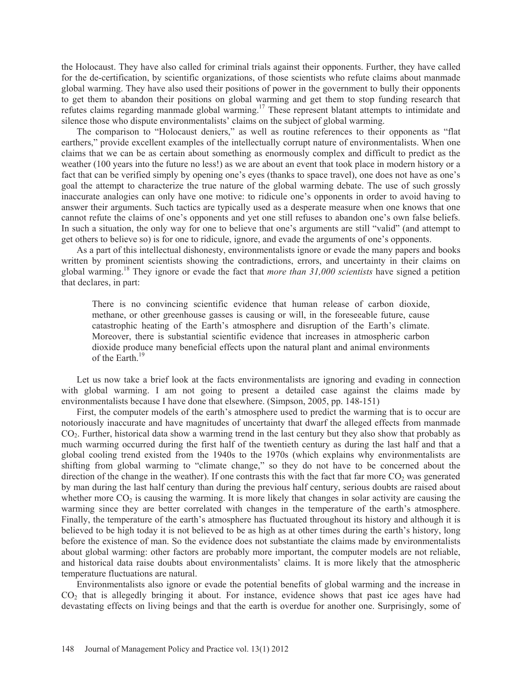the Holocaust. They have also called for criminal trials against their opponents. Further, they have called for the de-certification, by scientific organizations, of those scientists who refute claims about manmade global warming. They have also used their positions of power in the government to bully their opponents to get them to abandon their positions on global warming and get them to stop funding research that refutes claims regarding manmade global warming.<sup>17</sup> These represent blatant attempts to intimidate and silence those who dispute environmentalists' claims on the subject of global warming.

The comparison to "Holocaust deniers," as well as routine references to their opponents as "flat earthers," provide excellent examples of the intellectually corrupt nature of environmentalists. When one claims that we can be as certain about something as enormously complex and difficult to predict as the weather (100 years into the future no less!) as we are about an event that took place in modern history or a fact that can be verified simply by opening one's eyes (thanks to space travel), one does not have as one's goal the attempt to characterize the true nature of the global warming debate. The use of such grossly inaccurate analogies can only have one motive: to ridicule one's opponents in order to avoid having to answer their arguments. Such tactics are typically used as a desperate measure when one knows that one cannot refute the claims of one's opponents and yet one still refuses to abandon one's own false beliefs. In such a situation, the only way for one to believe that one's arguments are still "valid" (and attempt to get others to believe so) is for one to ridicule, ignore, and evade the arguments of one's opponents.

As a part of this intellectual dishonesty, environmentalists ignore or evade the many papers and books written by prominent scientists showing the contradictions, errors, and uncertainty in their claims on global warming.18 They ignore or evade the fact that *more than 31,000 scientists* have signed a petition that declares, in part:

There is no convincing scientific evidence that human release of carbon dioxide, methane, or other greenhouse gasses is causing or will, in the foreseeable future, cause catastrophic heating of the Earth's atmosphere and disruption of the Earth's climate. Moreover, there is substantial scientific evidence that increases in atmospheric carbon dioxide produce many beneficial effects upon the natural plant and animal environments of the Earth.<sup>19</sup>

Let us now take a brief look at the facts environmentalists are ignoring and evading in connection with global warming. I am not going to present a detailed case against the claims made by environmentalists because I have done that elsewhere. (Simpson, 2005, pp. 148-151)

First, the computer models of the earth's atmosphere used to predict the warming that is to occur are notoriously inaccurate and have magnitudes of uncertainty that dwarf the alleged effects from manmade  $CO<sub>2</sub>$ . Further, historical data show a warming trend in the last century but they also show that probably as much warming occurred during the first half of the twentieth century as during the last half and that a global cooling trend existed from the 1940s to the 1970s (which explains why environmentalists are shifting from global warming to "climate change," so they do not have to be concerned about the direction of the change in the weather). If one contrasts this with the fact that far more  $CO<sub>2</sub>$  was generated by man during the last half century than during the previous half century, serious doubts are raised about whether more  $CO<sub>2</sub>$  is causing the warming. It is more likely that changes in solar activity are causing the warming since they are better correlated with changes in the temperature of the earth's atmosphere. Finally, the temperature of the earth's atmosphere has fluctuated throughout its history and although it is believed to be high today it is not believed to be as high as at other times during the earth's history, long before the existence of man. So the evidence does not substantiate the claims made by environmentalists about global warming: other factors are probably more important, the computer models are not reliable, and historical data raise doubts about environmentalists' claims. It is more likely that the atmospheric temperature fluctuations are natural.

Environmentalists also ignore or evade the potential benefits of global warming and the increase in CO2 that is allegedly bringing it about. For instance, evidence shows that past ice ages have had devastating effects on living beings and that the earth is overdue for another one. Surprisingly, some of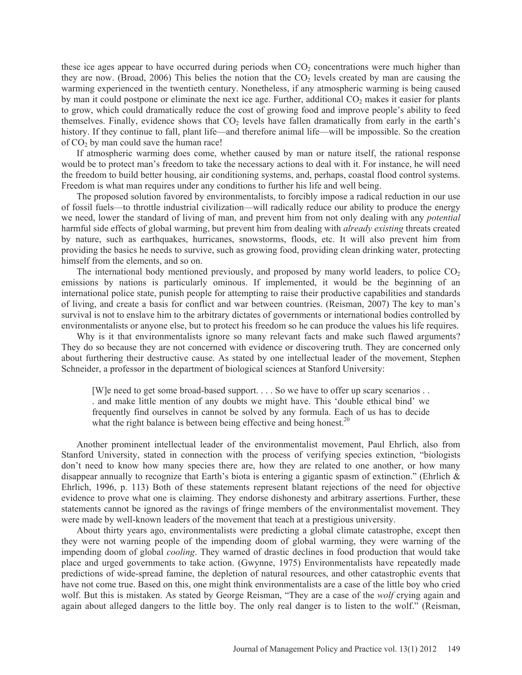these ice ages appear to have occurred during periods when  $CO<sub>2</sub>$  concentrations were much higher than they are now. (Broad, 2006) This belies the notion that the  $CO<sub>2</sub>$  levels created by man are causing the warming experienced in the twentieth century. Nonetheless, if any atmospheric warming is being caused by man it could postpone or eliminate the next ice age. Further, additional  $CO<sub>2</sub>$  makes it easier for plants to grow, which could dramatically reduce the cost of growing food and improve people's ability to feed themselves. Finally, evidence shows that  $CO<sub>2</sub>$  levels have fallen dramatically from early in the earth's history. If they continue to fall, plant life—and therefore animal life—will be impossible. So the creation of  $CO<sub>2</sub>$  by man could save the human race!

If atmospheric warming does come, whether caused by man or nature itself, the rational response would be to protect man's freedom to take the necessary actions to deal with it. For instance, he will need the freedom to build better housing, air conditioning systems, and, perhaps, coastal flood control systems. Freedom is what man requires under any conditions to further his life and well being.

The proposed solution favored by environmentalists, to forcibly impose a radical reduction in our use of fossil fuels—to throttle industrial civilization—will radically reduce our ability to produce the energy we need, lower the standard of living of man, and prevent him from not only dealing with any *potential* harmful side effects of global warming, but prevent him from dealing with *already existing* threats created by nature, such as earthquakes, hurricanes, snowstorms, floods, etc. It will also prevent him from providing the basics he needs to survive, such as growing food, providing clean drinking water, protecting himself from the elements, and so on.

The international body mentioned previously, and proposed by many world leaders, to police  $CO<sub>2</sub>$ emissions by nations is particularly ominous. If implemented, it would be the beginning of an international police state, punish people for attempting to raise their productive capabilities and standards of living, and create a basis for conflict and war between countries. (Reisman, 2007) The key to man's survival is not to enslave him to the arbitrary dictates of governments or international bodies controlled by environmentalists or anyone else, but to protect his freedom so he can produce the values his life requires.

Why is it that environmentalists ignore so many relevant facts and make such flawed arguments? They do so because they are not concerned with evidence or discovering truth. They are concerned only about furthering their destructive cause. As stated by one intellectual leader of the movement, Stephen Schneider, a professor in the department of biological sciences at Stanford University:

[W]e need to get some broad-based support. . . . So we have to offer up scary scenarios . . . and make little mention of any doubts we might have. This 'double ethical bind' we frequently find ourselves in cannot be solved by any formula. Each of us has to decide what the right balance is between being effective and being honest.<sup>20</sup>

Another prominent intellectual leader of the environmentalist movement, Paul Ehrlich, also from Stanford University, stated in connection with the process of verifying species extinction, "biologists don't need to know how many species there are, how they are related to one another, or how many disappear annually to recognize that Earth's biota is entering a gigantic spasm of extinction." (Ehrlich & Ehrlich, 1996, p. 113) Both of these statements represent blatant rejections of the need for objective evidence to prove what one is claiming. They endorse dishonesty and arbitrary assertions. Further, these statements cannot be ignored as the ravings of fringe members of the environmentalist movement. They were made by well-known leaders of the movement that teach at a prestigious university.

About thirty years ago, environmentalists were predicting a global climate catastrophe, except then they were not warning people of the impending doom of global warming, they were warning of the impending doom of global *cooling*. They warned of drastic declines in food production that would take place and urged governments to take action. (Gwynne, 1975) Environmentalists have repeatedly made predictions of wide-spread famine, the depletion of natural resources, and other catastrophic events that have not come true. Based on this, one might think environmentalists are a case of the little boy who cried wolf. But this is mistaken. As stated by George Reisman, "They are a case of the *wolf* crying again and again about alleged dangers to the little boy. The only real danger is to listen to the wolf." (Reisman,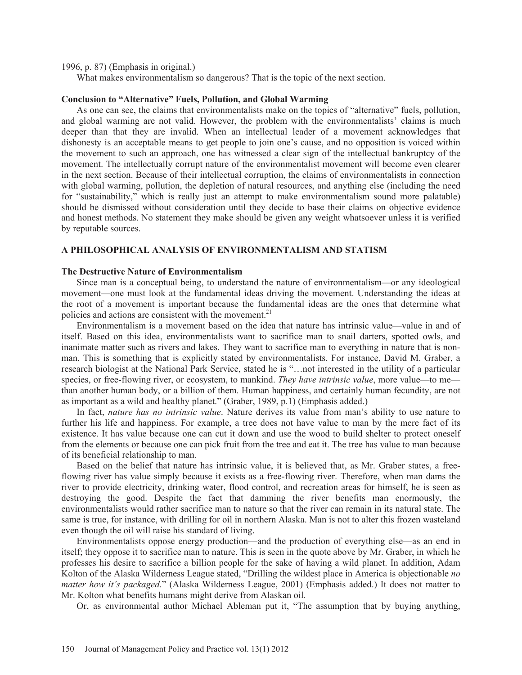### 1996, p. 87) (Emphasis in original.)

What makes environmentalism so dangerous? That is the topic of the next section.

#### **Conclusion to "Alternative" Fuels, Pollution, and Global Warming**

As one can see, the claims that environmentalists make on the topics of "alternative" fuels, pollution, and global warming are not valid. However, the problem with the environmentalists' claims is much deeper than that they are invalid. When an intellectual leader of a movement acknowledges that dishonesty is an acceptable means to get people to join one's cause, and no opposition is voiced within the movement to such an approach, one has witnessed a clear sign of the intellectual bankruptcy of the movement. The intellectually corrupt nature of the environmentalist movement will become even clearer in the next section. Because of their intellectual corruption, the claims of environmentalists in connection with global warming, pollution, the depletion of natural resources, and anything else (including the need for "sustainability," which is really just an attempt to make environmentalism sound more palatable) should be dismissed without consideration until they decide to base their claims on objective evidence and honest methods. No statement they make should be given any weight whatsoever unless it is verified by reputable sources.

#### **A PHILOSOPHICAL ANALYSIS OF ENVIRONMENTALISM AND STATISM**

#### **The Destructive Nature of Environmentalism**

Since man is a conceptual being, to understand the nature of environmentalism—or any ideological movement—one must look at the fundamental ideas driving the movement. Understanding the ideas at the root of a movement is important because the fundamental ideas are the ones that determine what policies and actions are consistent with the movement.<sup>21</sup>

Environmentalism is a movement based on the idea that nature has intrinsic value—value in and of itself. Based on this idea, environmentalists want to sacrifice man to snail darters, spotted owls, and inanimate matter such as rivers and lakes. They want to sacrifice man to everything in nature that is nonman. This is something that is explicitly stated by environmentalists. For instance, David M. Graber, a research biologist at the National Park Service, stated he is "…not interested in the utility of a particular species, or free-flowing river, or ecosystem, to mankind. *They have intrinsic value*, more value—to me than another human body, or a billion of them. Human happiness, and certainly human fecundity, are not as important as a wild and healthy planet." (Graber, 1989, p.1) (Emphasis added.)

In fact, *nature has no intrinsic value*. Nature derives its value from man's ability to use nature to further his life and happiness. For example, a tree does not have value to man by the mere fact of its existence. It has value because one can cut it down and use the wood to build shelter to protect oneself from the elements or because one can pick fruit from the tree and eat it. The tree has value to man because of its beneficial relationship to man.

Based on the belief that nature has intrinsic value, it is believed that, as Mr. Graber states, a freeflowing river has value simply because it exists as a free-flowing river. Therefore, when man dams the river to provide electricity, drinking water, flood control, and recreation areas for himself, he is seen as destroying the good. Despite the fact that damming the river benefits man enormously, the environmentalists would rather sacrifice man to nature so that the river can remain in its natural state. The same is true, for instance, with drilling for oil in northern Alaska. Man is not to alter this frozen wasteland even though the oil will raise his standard of living.

Environmentalists oppose energy production—and the production of everything else—as an end in itself; they oppose it to sacrifice man to nature. This is seen in the quote above by Mr. Graber, in which he professes his desire to sacrifice a billion people for the sake of having a wild planet. In addition, Adam Kolton of the Alaska Wilderness League stated, "Drilling the wildest place in America is objectionable *no matter how it's packaged*." (Alaska Wilderness League, 2001) (Emphasis added.) It does not matter to Mr. Kolton what benefits humans might derive from Alaskan oil.

Or, as environmental author Michael Ableman put it, "The assumption that by buying anything,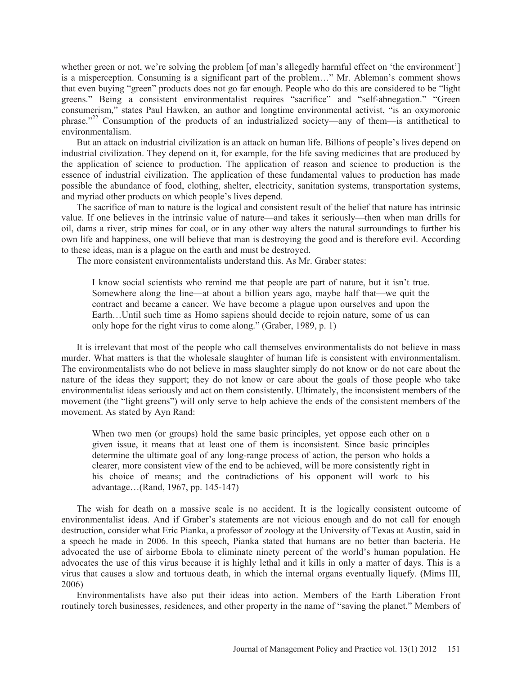whether green or not, we're solving the problem [of man's allegedly harmful effect on 'the environment'] is a misperception. Consuming is a significant part of the problem…" Mr. Ableman's comment shows that even buying "green" products does not go far enough. People who do this are considered to be "light greens." Being a consistent environmentalist requires "sacrifice" and "self-abnegation." "Green consumerism," states Paul Hawken, an author and longtime environmental activist, "is an oxymoronic phrase."<sup>22</sup> Consumption of the products of an industrialized society—any of them—is antithetical to environmentalism.

But an attack on industrial civilization is an attack on human life. Billions of people's lives depend on industrial civilization. They depend on it, for example, for the life saving medicines that are produced by the application of science to production. The application of reason and science to production is the essence of industrial civilization. The application of these fundamental values to production has made possible the abundance of food, clothing, shelter, electricity, sanitation systems, transportation systems, and myriad other products on which people's lives depend.

The sacrifice of man to nature is the logical and consistent result of the belief that nature has intrinsic value. If one believes in the intrinsic value of nature—and takes it seriously—then when man drills for oil, dams a river, strip mines for coal, or in any other way alters the natural surroundings to further his own life and happiness, one will believe that man is destroying the good and is therefore evil. According to these ideas, man is a plague on the earth and must be destroyed.

The more consistent environmentalists understand this. As Mr. Graber states:

I know social scientists who remind me that people are part of nature, but it isn't true. Somewhere along the line—at about a billion years ago, maybe half that—we quit the contract and became a cancer. We have become a plague upon ourselves and upon the Earth…Until such time as Homo sapiens should decide to rejoin nature, some of us can only hope for the right virus to come along." (Graber, 1989, p. 1)

It is irrelevant that most of the people who call themselves environmentalists do not believe in mass murder. What matters is that the wholesale slaughter of human life is consistent with environmentalism. The environmentalists who do not believe in mass slaughter simply do not know or do not care about the nature of the ideas they support; they do not know or care about the goals of those people who take environmentalist ideas seriously and act on them consistently. Ultimately, the inconsistent members of the movement (the "light greens") will only serve to help achieve the ends of the consistent members of the movement. As stated by Ayn Rand:

When two men (or groups) hold the same basic principles, yet oppose each other on a given issue, it means that at least one of them is inconsistent. Since basic principles determine the ultimate goal of any long-range process of action, the person who holds a clearer, more consistent view of the end to be achieved, will be more consistently right in his choice of means; and the contradictions of his opponent will work to his advantage…(Rand, 1967, pp. 145-147)

The wish for death on a massive scale is no accident. It is the logically consistent outcome of environmentalist ideas. And if Graber's statements are not vicious enough and do not call for enough destruction, consider what Eric Pianka, a professor of zoology at the University of Texas at Austin, said in a speech he made in 2006. In this speech, Pianka stated that humans are no better than bacteria. He advocated the use of airborne Ebola to eliminate ninety percent of the world's human population. He advocates the use of this virus because it is highly lethal and it kills in only a matter of days. This is a virus that causes a slow and tortuous death, in which the internal organs eventually liquefy. (Mims III, 2006)

Environmentalists have also put their ideas into action. Members of the Earth Liberation Front routinely torch businesses, residences, and other property in the name of "saving the planet." Members of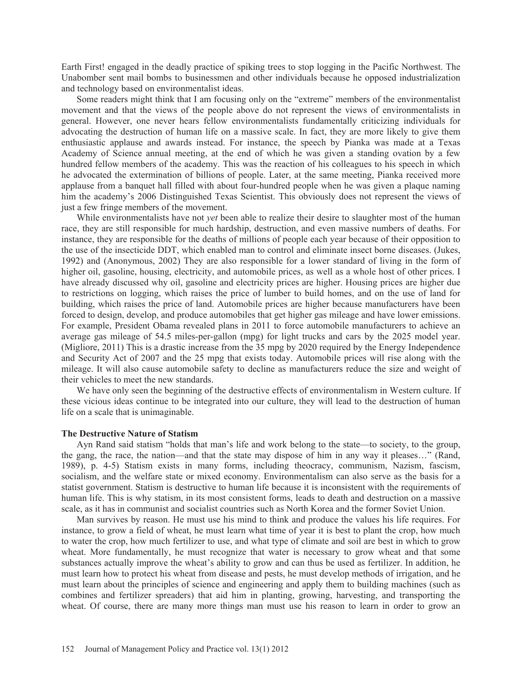Earth First! engaged in the deadly practice of spiking trees to stop logging in the Pacific Northwest. The Unabomber sent mail bombs to businessmen and other individuals because he opposed industrialization and technology based on environmentalist ideas.

Some readers might think that I am focusing only on the "extreme" members of the environmentalist movement and that the views of the people above do not represent the views of environmentalists in general. However, one never hears fellow environmentalists fundamentally criticizing individuals for advocating the destruction of human life on a massive scale. In fact, they are more likely to give them enthusiastic applause and awards instead. For instance, the speech by Pianka was made at a Texas Academy of Science annual meeting, at the end of which he was given a standing ovation by a few hundred fellow members of the academy. This was the reaction of his colleagues to his speech in which he advocated the extermination of billions of people. Later, at the same meeting, Pianka received more applause from a banquet hall filled with about four-hundred people when he was given a plaque naming him the academy's 2006 Distinguished Texas Scientist. This obviously does not represent the views of just a few fringe members of the movement.

While environmentalists have not *yet* been able to realize their desire to slaughter most of the human race, they are still responsible for much hardship, destruction, and even massive numbers of deaths. For instance, they are responsible for the deaths of millions of people each year because of their opposition to the use of the insecticide DDT, which enabled man to control and eliminate insect borne diseases. (Jukes, 1992) and (Anonymous, 2002) They are also responsible for a lower standard of living in the form of higher oil, gasoline, housing, electricity, and automobile prices, as well as a whole host of other prices. I have already discussed why oil, gasoline and electricity prices are higher. Housing prices are higher due to restrictions on logging, which raises the price of lumber to build homes, and on the use of land for building, which raises the price of land. Automobile prices are higher because manufacturers have been forced to design, develop, and produce automobiles that get higher gas mileage and have lower emissions. For example, President Obama revealed plans in 2011 to force automobile manufacturers to achieve an average gas mileage of 54.5 miles-per-gallon (mpg) for light trucks and cars by the 2025 model year. (Migliore, 2011) This is a drastic increase from the 35 mpg by 2020 required by the Energy Independence and Security Act of 2007 and the 25 mpg that exists today. Automobile prices will rise along with the mileage. It will also cause automobile safety to decline as manufacturers reduce the size and weight of their vehicles to meet the new standards.

We have only seen the beginning of the destructive effects of environmentalism in Western culture. If these vicious ideas continue to be integrated into our culture, they will lead to the destruction of human life on a scale that is unimaginable.

### **The Destructive Nature of Statism**

Ayn Rand said statism "holds that man's life and work belong to the state—to society, to the group, the gang, the race, the nation—and that the state may dispose of him in any way it pleases…" (Rand, 1989), p. 4-5) Statism exists in many forms, including theocracy, communism, Nazism, fascism, socialism, and the welfare state or mixed economy. Environmentalism can also serve as the basis for a statist government. Statism is destructive to human life because it is inconsistent with the requirements of human life. This is why statism, in its most consistent forms, leads to death and destruction on a massive scale, as it has in communist and socialist countries such as North Korea and the former Soviet Union.

Man survives by reason. He must use his mind to think and produce the values his life requires. For instance, to grow a field of wheat, he must learn what time of year it is best to plant the crop, how much to water the crop, how much fertilizer to use, and what type of climate and soil are best in which to grow wheat. More fundamentally, he must recognize that water is necessary to grow wheat and that some substances actually improve the wheat's ability to grow and can thus be used as fertilizer. In addition, he must learn how to protect his wheat from disease and pests, he must develop methods of irrigation, and he must learn about the principles of science and engineering and apply them to building machines (such as combines and fertilizer spreaders) that aid him in planting, growing, harvesting, and transporting the wheat. Of course, there are many more things man must use his reason to learn in order to grow an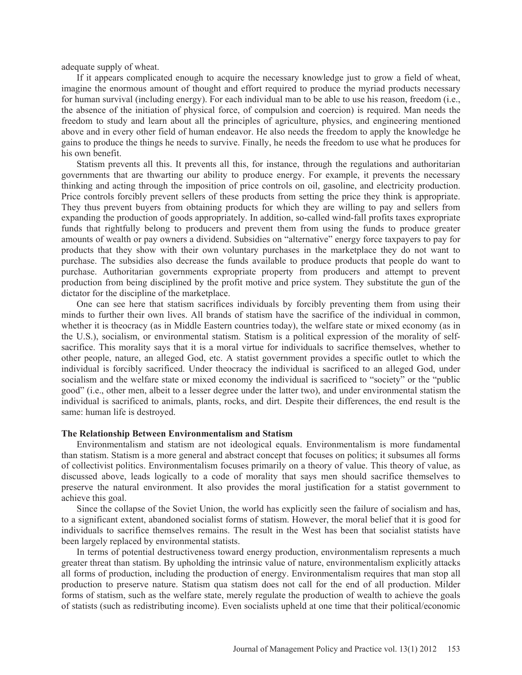adequate supply of wheat.

If it appears complicated enough to acquire the necessary knowledge just to grow a field of wheat, imagine the enormous amount of thought and effort required to produce the myriad products necessary for human survival (including energy). For each individual man to be able to use his reason, freedom (i.e., the absence of the initiation of physical force, of compulsion and coercion) is required. Man needs the freedom to study and learn about all the principles of agriculture, physics, and engineering mentioned above and in every other field of human endeavor. He also needs the freedom to apply the knowledge he gains to produce the things he needs to survive. Finally, he needs the freedom to use what he produces for his own benefit.

Statism prevents all this. It prevents all this, for instance, through the regulations and authoritarian governments that are thwarting our ability to produce energy. For example, it prevents the necessary thinking and acting through the imposition of price controls on oil, gasoline, and electricity production. Price controls forcibly prevent sellers of these products from setting the price they think is appropriate. They thus prevent buyers from obtaining products for which they are willing to pay and sellers from expanding the production of goods appropriately. In addition, so-called wind-fall profits taxes expropriate funds that rightfully belong to producers and prevent them from using the funds to produce greater amounts of wealth or pay owners a dividend. Subsidies on "alternative" energy force taxpayers to pay for products that they show with their own voluntary purchases in the marketplace they do not want to purchase. The subsidies also decrease the funds available to produce products that people do want to purchase. Authoritarian governments expropriate property from producers and attempt to prevent production from being disciplined by the profit motive and price system. They substitute the gun of the dictator for the discipline of the marketplace.

One can see here that statism sacrifices individuals by forcibly preventing them from using their minds to further their own lives. All brands of statism have the sacrifice of the individual in common, whether it is theocracy (as in Middle Eastern countries today), the welfare state or mixed economy (as in the U.S.), socialism, or environmental statism. Statism is a political expression of the morality of selfsacrifice. This morality says that it is a moral virtue for individuals to sacrifice themselves, whether to other people, nature, an alleged God, etc. A statist government provides a specific outlet to which the individual is forcibly sacrificed. Under theocracy the individual is sacrificed to an alleged God, under socialism and the welfare state or mixed economy the individual is sacrificed to "society" or the "public good" (i.e., other men, albeit to a lesser degree under the latter two), and under environmental statism the individual is sacrificed to animals, plants, rocks, and dirt. Despite their differences, the end result is the same: human life is destroyed.

#### **The Relationship Between Environmentalism and Statism**

Environmentalism and statism are not ideological equals. Environmentalism is more fundamental than statism. Statism is a more general and abstract concept that focuses on politics; it subsumes all forms of collectivist politics. Environmentalism focuses primarily on a theory of value. This theory of value, as discussed above, leads logically to a code of morality that says men should sacrifice themselves to preserve the natural environment. It also provides the moral justification for a statist government to achieve this goal.

Since the collapse of the Soviet Union, the world has explicitly seen the failure of socialism and has, to a significant extent, abandoned socialist forms of statism. However, the moral belief that it is good for individuals to sacrifice themselves remains. The result in the West has been that socialist statists have been largely replaced by environmental statists.

In terms of potential destructiveness toward energy production, environmentalism represents a much greater threat than statism. By upholding the intrinsic value of nature, environmentalism explicitly attacks all forms of production, including the production of energy. Environmentalism requires that man stop all production to preserve nature. Statism qua statism does not call for the end of all production. Milder forms of statism, such as the welfare state, merely regulate the production of wealth to achieve the goals of statists (such as redistributing income). Even socialists upheld at one time that their political/economic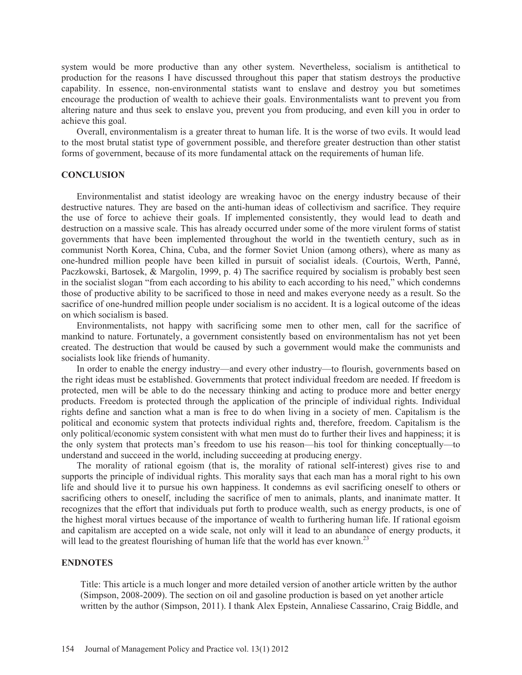system would be more productive than any other system. Nevertheless, socialism is antithetical to production for the reasons I have discussed throughout this paper that statism destroys the productive capability. In essence, non-environmental statists want to enslave and destroy you but sometimes encourage the production of wealth to achieve their goals. Environmentalists want to prevent you from altering nature and thus seek to enslave you, prevent you from producing, and even kill you in order to achieve this goal.

Overall, environmentalism is a greater threat to human life. It is the worse of two evils. It would lead to the most brutal statist type of government possible, and therefore greater destruction than other statist forms of government, because of its more fundamental attack on the requirements of human life.

## **CONCLUSION**

Environmentalist and statist ideology are wreaking havoc on the energy industry because of their destructive natures. They are based on the anti-human ideas of collectivism and sacrifice. They require the use of force to achieve their goals. If implemented consistently, they would lead to death and destruction on a massive scale. This has already occurred under some of the more virulent forms of statist governments that have been implemented throughout the world in the twentieth century, such as in communist North Korea, China, Cuba, and the former Soviet Union (among others), where as many as one-hundred million people have been killed in pursuit of socialist ideals. (Courtois, Werth, Panné, Paczkowski, Bartosek, & Margolin, 1999, p. 4) The sacrifice required by socialism is probably best seen in the socialist slogan "from each according to his ability to each according to his need," which condemns those of productive ability to be sacrificed to those in need and makes everyone needy as a result. So the sacrifice of one-hundred million people under socialism is no accident. It is a logical outcome of the ideas on which socialism is based.

Environmentalists, not happy with sacrificing some men to other men, call for the sacrifice of mankind to nature. Fortunately, a government consistently based on environmentalism has not yet been created. The destruction that would be caused by such a government would make the communists and socialists look like friends of humanity.

In order to enable the energy industry—and every other industry—to flourish, governments based on the right ideas must be established. Governments that protect individual freedom are needed. If freedom is protected, men will be able to do the necessary thinking and acting to produce more and better energy products. Freedom is protected through the application of the principle of individual rights. Individual rights define and sanction what a man is free to do when living in a society of men. Capitalism is the political and economic system that protects individual rights and, therefore, freedom. Capitalism is the only political/economic system consistent with what men must do to further their lives and happiness; it is the only system that protects man's freedom to use his reason—his tool for thinking conceptually—to understand and succeed in the world, including succeeding at producing energy.

The morality of rational egoism (that is, the morality of rational self-interest) gives rise to and supports the principle of individual rights. This morality says that each man has a moral right to his own life and should live it to pursue his own happiness. It condemns as evil sacrificing oneself to others or sacrificing others to oneself, including the sacrifice of men to animals, plants, and inanimate matter. It recognizes that the effort that individuals put forth to produce wealth, such as energy products, is one of the highest moral virtues because of the importance of wealth to furthering human life. If rational egoism and capitalism are accepted on a wide scale, not only will it lead to an abundance of energy products, it will lead to the greatest flourishing of human life that the world has ever known.<sup>23</sup>

#### **ENDNOTES**

Title: This article is a much longer and more detailed version of another article written by the author (Simpson, 2008-2009). The section on oil and gasoline production is based on yet another article written by the author (Simpson, 2011). I thank Alex Epstein, Annaliese Cassarino, Craig Biddle, and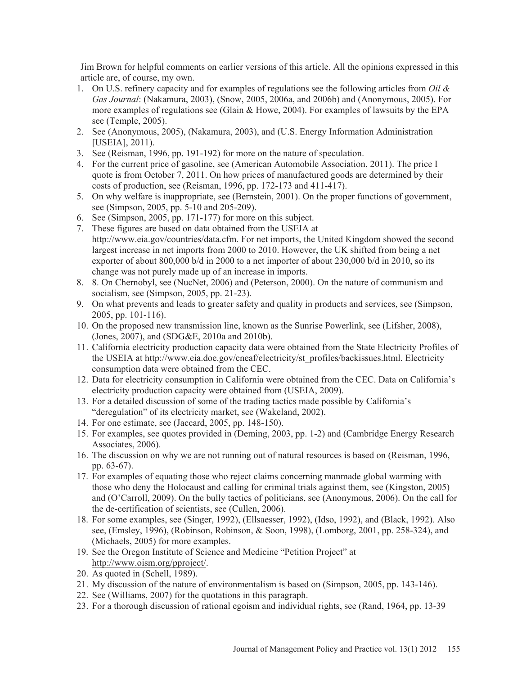Jim Brown for helpful comments on earlier versions of this article. All the opinions expressed in this article are, of course, my own.

- 1. On U.S. refinery capacity and for examples of regulations see the following articles from *Oil & Gas Journal*: (Nakamura, 2003), (Snow, 2005, 2006a, and 2006b) and (Anonymous, 2005). For more examples of regulations see (Glain & Howe, 2004). For examples of lawsuits by the EPA see (Temple, 2005).
- 2. See (Anonymous, 2005), (Nakamura, 2003), and (U.S. Energy Information Administration [USEIA], 2011).
- 3. See (Reisman, 1996, pp. 191-192) for more on the nature of speculation.
- 4. For the current price of gasoline, see (American Automobile Association, 2011). The price I quote is from October 7, 2011. On how prices of manufactured goods are determined by their costs of production, see (Reisman, 1996, pp. 172-173 and 411-417).
- 5. On why welfare is inappropriate, see (Bernstein, 2001). On the proper functions of government, see (Simpson, 2005, pp. 5-10 and 205-209).
- 6. See (Simpson, 2005, pp. 171-177) for more on this subject.
- 7. These figures are based on data obtained from the USEIA at http://www.eia.gov/countries/data.cfm. For net imports, the United Kingdom showed the second largest increase in net imports from 2000 to 2010. However, the UK shifted from being a net exporter of about 800,000 b/d in 2000 to a net importer of about 230,000 b/d in 2010, so its change was not purely made up of an increase in imports.
- 8. 8. On Chernobyl, see (NucNet, 2006) and (Peterson, 2000). On the nature of communism and socialism, see (Simpson, 2005, pp. 21-23).
- 9. On what prevents and leads to greater safety and quality in products and services, see (Simpson, 2005, pp. 101-116).
- 10. On the proposed new transmission line, known as the Sunrise Powerlink, see (Lifsher, 2008), (Jones, 2007), and (SDG&E, 2010a and 2010b).
- 11. California electricity production capacity data were obtained from the State Electricity Profiles of the USEIA at http://www.eia.doe.gov/cneaf/electricity/st\_profiles/backissues.html. Electricity consumption data were obtained from the CEC.
- 12. Data for electricity consumption in California were obtained from the CEC. Data on California's electricity production capacity were obtained from (USEIA, 2009).
- 13. For a detailed discussion of some of the trading tactics made possible by California's "deregulation" of its electricity market, see (Wakeland, 2002).
- 14. For one estimate, see (Jaccard, 2005, pp. 148-150).
- 15. For examples, see quotes provided in (Deming, 2003, pp. 1-2) and (Cambridge Energy Research Associates, 2006).
- 16. The discussion on why we are not running out of natural resources is based on (Reisman, 1996, pp. 63-67).
- 17. For examples of equating those who reject claims concerning manmade global warming with those who deny the Holocaust and calling for criminal trials against them, see (Kingston, 2005) and (O'Carroll, 2009). On the bully tactics of politicians, see (Anonymous, 2006). On the call for the de-certification of scientists, see (Cullen, 2006).
- 18. For some examples, see (Singer, 1992), (Ellsaesser, 1992), (Idso, 1992), and (Black, 1992). Also see, (Emsley, 1996), (Robinson, Robinson, & Soon, 1998), (Lomborg, 2001, pp. 258-324), and (Michaels, 2005) for more examples.
- 19. See the Oregon Institute of Science and Medicine "Petition Project" at http://www.oism.org/pproject/.
- 20. As quoted in (Schell, 1989).
- 21. My discussion of the nature of environmentalism is based on (Simpson, 2005, pp. 143-146).
- 22. See (Williams, 2007) for the quotations in this paragraph.
- 23. For a thorough discussion of rational egoism and individual rights, see (Rand, 1964, pp. 13-39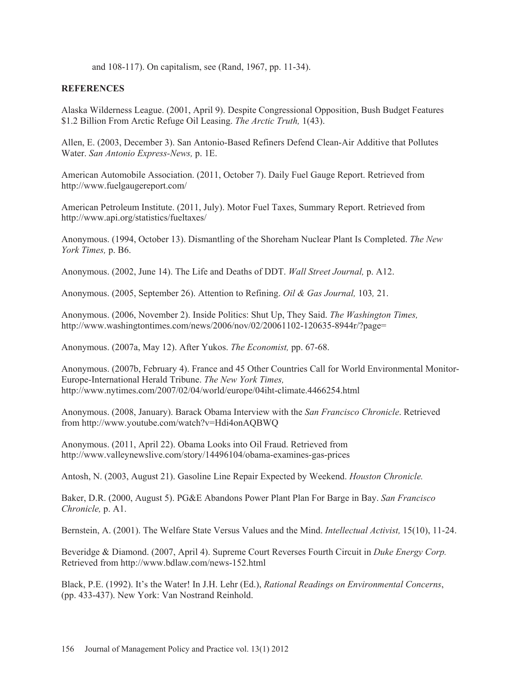and 108-117). On capitalism, see (Rand, 1967, pp. 11-34).

## **REFERENCES**

Alaska Wilderness League. (2001, April 9). Despite Congressional Opposition, Bush Budget Features \$1.2 Billion From Arctic Refuge Oil Leasing. *The Arctic Truth,* 1(43).

Allen, E. (2003, December 3). San Antonio-Based Refiners Defend Clean-Air Additive that Pollutes Water. *San Antonio Express-News,* p. 1E.

American Automobile Association. (2011, October 7). Daily Fuel Gauge Report. Retrieved from http://www.fuelgaugereport.com/

American Petroleum Institute. (2011, July). Motor Fuel Taxes, Summary Report. Retrieved from http://www.api.org/statistics/fueltaxes/

Anonymous. (1994, October 13). Dismantling of the Shoreham Nuclear Plant Is Completed. *The New York Times,* p. B6.

Anonymous. (2002, June 14). The Life and Deaths of DDT. *Wall Street Journal,* p. A12.

Anonymous. (2005, September 26). Attention to Refining. *Oil & Gas Journal,* 103*,* 21.

Anonymous. (2006, November 2). Inside Politics: Shut Up, They Said. *The Washington Times,* http://www.washingtontimes.com/news/2006/nov/02/20061102-120635-8944r/?page=

Anonymous. (2007a, May 12). After Yukos. *The Economist,* pp. 67-68.

Anonymous. (2007b, February 4). France and 45 Other Countries Call for World Environmental Monitor-Europe-International Herald Tribune. *The New York Times,* http://www.nytimes.com/2007/02/04/world/europe/04iht-climate.4466254.html

Anonymous. (2008, January). Barack Obama Interview with the *San Francisco Chronicle*. Retrieved from http://www.youtube.com/watch?v=Hdi4onAQBWQ

Anonymous. (2011, April 22). Obama Looks into Oil Fraud. Retrieved from http://www.valleynewslive.com/story/14496104/obama-examines-gas-prices

Antosh, N. (2003, August 21). Gasoline Line Repair Expected by Weekend. *Houston Chronicle.*

Baker, D.R. (2000, August 5). PG&E Abandons Power Plant Plan For Barge in Bay. *San Francisco Chronicle,* p. A1.

Bernstein, A. (2001). The Welfare State Versus Values and the Mind. *Intellectual Activist,* 15(10), 11-24.

Beveridge & Diamond. (2007, April 4). Supreme Court Reverses Fourth Circuit in *Duke Energy Corp.* Retrieved from http://www.bdlaw.com/news-152.html

Black, P.E. (1992). It's the Water! In J.H. Lehr (Ed.), *Rational Readings on Environmental Concerns*, (pp. 433-437). New York: Van Nostrand Reinhold.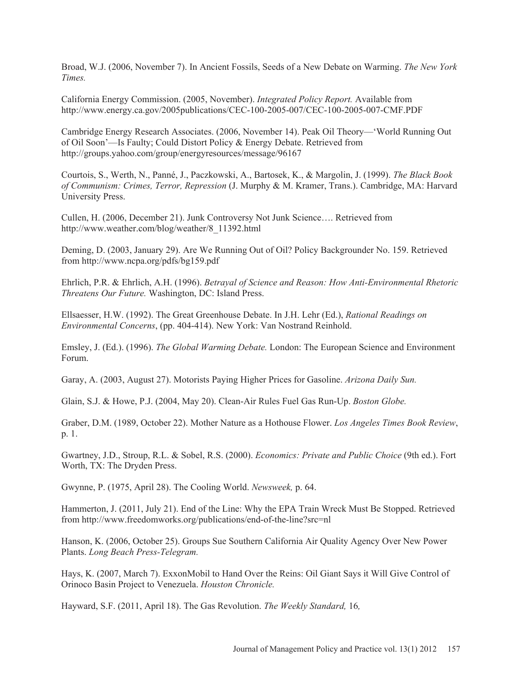Broad, W.J. (2006, November 7). In Ancient Fossils, Seeds of a New Debate on Warming. *The New York Times.*

California Energy Commission. (2005, November). *Integrated Policy Report.* Available from http://www.energy.ca.gov/2005publications/CEC-100-2005-007/CEC-100-2005-007-CMF.PDF

Cambridge Energy Research Associates. (2006, November 14). Peak Oil Theory—'World Running Out of Oil Soon'—Is Faulty; Could Distort Policy & Energy Debate. Retrieved from http://groups.yahoo.com/group/energyresources/message/96167

Courtois, S., Werth, N., Panné, J., Paczkowski, A., Bartosek, K., & Margolin, J. (1999). *The Black Book of Communism: Crimes, Terror, Repression* (J. Murphy & M. Kramer, Trans.). Cambridge, MA: Harvard University Press.

Cullen, H. (2006, December 21). Junk Controversy Not Junk Science…. Retrieved from http://www.weather.com/blog/weather/8\_11392.html

Deming, D. (2003, January 29). Are We Running Out of Oil? Policy Backgrounder No. 159. Retrieved from http://www.ncpa.org/pdfs/bg159.pdf

Ehrlich, P.R. & Ehrlich, A.H. (1996). *Betrayal of Science and Reason: How Anti-Environmental Rhetoric Threatens Our Future.* Washington, DC: Island Press.

Ellsaesser, H.W. (1992). The Great Greenhouse Debate. In J.H. Lehr (Ed.), *Rational Readings on Environmental Concerns*, (pp. 404-414). New York: Van Nostrand Reinhold.

Emsley, J. (Ed.). (1996). *The Global Warming Debate.* London: The European Science and Environment Forum.

Garay, A. (2003, August 27). Motorists Paying Higher Prices for Gasoline. *Arizona Daily Sun.*

Glain, S.J. & Howe, P.J. (2004, May 20). Clean-Air Rules Fuel Gas Run-Up. *Boston Globe.*

Graber, D.M. (1989, October 22). Mother Nature as a Hothouse Flower. *Los Angeles Times Book Review*, p. 1.

Gwartney, J.D., Stroup, R.L. & Sobel, R.S. (2000). *Economics: Private and Public Choice* (9th ed.). Fort Worth, TX: The Dryden Press.

Gwynne, P. (1975, April 28). The Cooling World. *Newsweek,* p. 64.

Hammerton, J. (2011, July 21). End of the Line: Why the EPA Train Wreck Must Be Stopped. Retrieved from http://www.freedomworks.org/publications/end-of-the-line?src=nl

Hanson, K. (2006, October 25). Groups Sue Southern California Air Quality Agency Over New Power Plants. *Long Beach Press-Telegram.*

Hays, K. (2007, March 7). ExxonMobil to Hand Over the Reins: Oil Giant Says it Will Give Control of Orinoco Basin Project to Venezuela. *Houston Chronicle.*

Hayward, S.F. (2011, April 18). The Gas Revolution. *The Weekly Standard,* 16*,*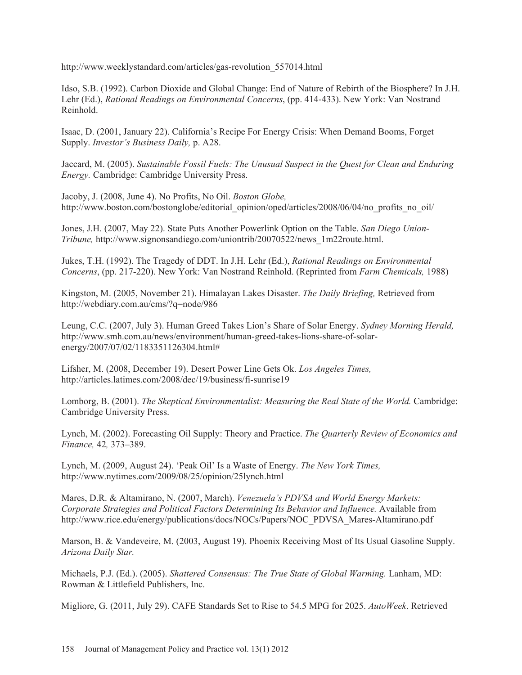http://www.weeklystandard.com/articles/gas-revolution\_557014.html

Idso, S.B. (1992). Carbon Dioxide and Global Change: End of Nature of Rebirth of the Biosphere? In J.H. Lehr (Ed.), *Rational Readings on Environmental Concerns*, (pp. 414-433). New York: Van Nostrand Reinhold.

Isaac, D. (2001, January 22). California's Recipe For Energy Crisis: When Demand Booms, Forget Supply. *Investor's Business Daily,* p. A28.

Jaccard, M. (2005). *Sustainable Fossil Fuels: The Unusual Suspect in the Quest for Clean and Enduring Energy.* Cambridge: Cambridge University Press.

Jacoby, J. (2008, June 4). No Profits, No Oil. *Boston Globe,* http://www.boston.com/bostonglobe/editorial\_opinion/oped/articles/2008/06/04/no\_profits\_no\_oil/

Jones, J.H. (2007, May 22). State Puts Another Powerlink Option on the Table. *San Diego Union-Tribune,* http://www.signonsandiego.com/uniontrib/20070522/news\_1m22route.html.

Jukes, T.H. (1992). The Tragedy of DDT. In J.H. Lehr (Ed.), *Rational Readings on Environmental Concerns*, (pp. 217-220). New York: Van Nostrand Reinhold. (Reprinted from *Farm Chemicals,* 1988)

Kingston, M. (2005, November 21). Himalayan Lakes Disaster. *The Daily Briefing,* Retrieved from http://webdiary.com.au/cms/?q=node/986

Leung, C.C. (2007, July 3). Human Greed Takes Lion's Share of Solar Energy. *Sydney Morning Herald,* http://www.smh.com.au/news/environment/human-greed-takes-lions-share-of-solarenergy/2007/07/02/1183351126304.html#

Lifsher, M. (2008, December 19). Desert Power Line Gets Ok. *Los Angeles Times,* http://articles.latimes.com/2008/dec/19/business/fi-sunrise19

Lomborg, B. (2001). *The Skeptical Environmentalist: Measuring the Real State of the World.* Cambridge: Cambridge University Press.

Lynch, M. (2002). Forecasting Oil Supply: Theory and Practice. *The Quarterly Review of Economics and Finance,* 42*,* 373–389.

Lynch, M. (2009, August 24). 'Peak Oil' Is a Waste of Energy. *The New York Times,* http://www.nytimes.com/2009/08/25/opinion/25lynch.html

Mares, D.R. & Altamirano, N. (2007, March). *Venezuela's PDVSA and World Energy Markets: Corporate Strategies and Political Factors Determining Its Behavior and Influence.* Available from http://www.rice.edu/energy/publications/docs/NOCs/Papers/NOC\_PDVSA\_Mares-Altamirano.pdf

Marson, B. & Vandeveire, M. (2003, August 19). Phoenix Receiving Most of Its Usual Gasoline Supply. *Arizona Daily Star.*

Michaels, P.J. (Ed.). (2005). *Shattered Consensus: The True State of Global Warming.* Lanham, MD: Rowman & Littlefield Publishers, Inc.

Migliore, G. (2011, July 29). CAFE Standards Set to Rise to 54.5 MPG for 2025. *AutoWeek*. Retrieved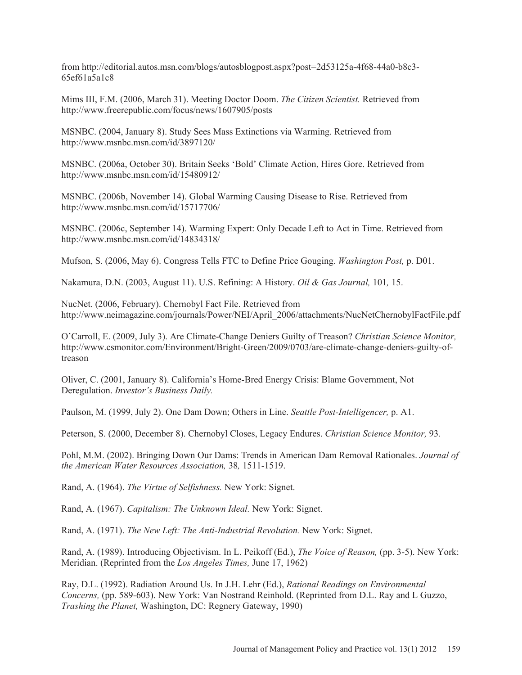from http://editorial.autos.msn.com/blogs/autosblogpost.aspx?post=2d53125a-4f68-44a0-b8c3- 65ef61a5a1c8

Mims III, F.M. (2006, March 31). Meeting Doctor Doom. *The Citizen Scientist.* Retrieved from http://www.freerepublic.com/focus/news/1607905/posts

MSNBC. (2004, January 8). Study Sees Mass Extinctions via Warming. Retrieved from http://www.msnbc.msn.com/id/3897120/

MSNBC. (2006a, October 30). Britain Seeks 'Bold' Climate Action, Hires Gore. Retrieved from http://www.msnbc.msn.com/id/15480912/

MSNBC. (2006b, November 14). Global Warming Causing Disease to Rise. Retrieved from http://www.msnbc.msn.com/id/15717706/

MSNBC. (2006c, September 14). Warming Expert: Only Decade Left to Act in Time. Retrieved from http://www.msnbc.msn.com/id/14834318/

Mufson, S. (2006, May 6). Congress Tells FTC to Define Price Gouging. *Washington Post,* p. D01.

Nakamura, D.N. (2003, August 11). U.S. Refining: A History. *Oil & Gas Journal,* 101*,* 15.

NucNet. (2006, February). Chernobyl Fact File. Retrieved from http://www.neimagazine.com/journals/Power/NEI/April\_2006/attachments/NucNetChernobylFactFile.pdf

O'Carroll, E. (2009, July 3). Are Climate-Change Deniers Guilty of Treason? *Christian Science Monitor,* http://www.csmonitor.com/Environment/Bright-Green/2009/0703/are-climate-change-deniers-guilty-oftreason

Oliver, C. (2001, January 8). California's Home-Bred Energy Crisis: Blame Government, Not Deregulation. *Investor's Business Daily.*

Paulson, M. (1999, July 2). One Dam Down; Others in Line. *Seattle Post-Intelligencer,* p. A1.

Peterson, S. (2000, December 8). Chernobyl Closes, Legacy Endures. *Christian Science Monitor,* 93*.*

Pohl, M.M. (2002). Bringing Down Our Dams: Trends in American Dam Removal Rationales. *Journal of the American Water Resources Association,* 38*,* 1511-1519.

Rand, A. (1964). *The Virtue of Selfishness.* New York: Signet.

Rand, A. (1967). *Capitalism: The Unknown Ideal.* New York: Signet.

Rand, A. (1971). *The New Left: The Anti-Industrial Revolution.* New York: Signet.

Rand, A. (1989). Introducing Objectivism. In L. Peikoff (Ed.), *The Voice of Reason,* (pp. 3-5). New York: Meridian. (Reprinted from the *Los Angeles Times,* June 17, 1962)

Ray, D.L. (1992). Radiation Around Us. In J.H. Lehr (Ed.), *Rational Readings on Environmental Concerns,* (pp. 589-603). New York: Van Nostrand Reinhold. (Reprinted from D.L. Ray and L Guzzo, *Trashing the Planet,* Washington, DC: Regnery Gateway, 1990)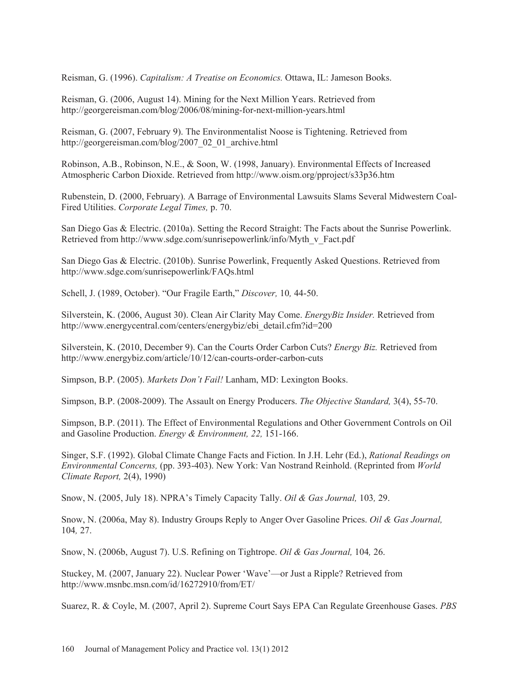Reisman, G. (1996). *Capitalism: A Treatise on Economics.* Ottawa, IL: Jameson Books.

Reisman, G. (2006, August 14). Mining for the Next Million Years. Retrieved from http://georgereisman.com/blog/2006/08/mining-for-next-million-years.html

Reisman, G. (2007, February 9). The Environmentalist Noose is Tightening. Retrieved from http://georgereisman.com/blog/2007\_02\_01\_archive.html

Robinson, A.B., Robinson, N.E., & Soon, W. (1998, January). Environmental Effects of Increased Atmospheric Carbon Dioxide. Retrieved from http://www.oism.org/pproject/s33p36.htm

Rubenstein, D. (2000, February). A Barrage of Environmental Lawsuits Slams Several Midwestern Coal-Fired Utilities. *Corporate Legal Times,* p. 70.

San Diego Gas & Electric. (2010a). Setting the Record Straight: The Facts about the Sunrise Powerlink. Retrieved from http://www.sdge.com/sunrisepowerlink/info/Myth\_v\_Fact.pdf

San Diego Gas & Electric. (2010b). Sunrise Powerlink, Frequently Asked Questions. Retrieved from http://www.sdge.com/sunrisepowerlink/FAQs.html

Schell, J. (1989, October). "Our Fragile Earth," *Discover,* 10*,* 44-50.

Silverstein, K. (2006, August 30). Clean Air Clarity May Come. *EnergyBiz Insider.* Retrieved from http://www.energycentral.com/centers/energybiz/ebi\_detail.cfm?id=200

Silverstein, K. (2010, December 9). Can the Courts Order Carbon Cuts? *Energy Biz.* Retrieved from http://www.energybiz.com/article/10/12/can-courts-order-carbon-cuts

Simpson, B.P. (2005). *Markets Don't Fail!* Lanham, MD: Lexington Books.

Simpson, B.P. (2008-2009). The Assault on Energy Producers. *The Objective Standard,* 3(4), 55-70.

Simpson, B.P. (2011). The Effect of Environmental Regulations and Other Government Controls on Oil and Gasoline Production. *Energy & Environment, 22,* 151-166.

Singer, S.F. (1992). Global Climate Change Facts and Fiction. In J.H. Lehr (Ed.), *Rational Readings on Environmental Concerns,* (pp. 393-403). New York: Van Nostrand Reinhold. (Reprinted from *World Climate Report,* 2(4), 1990)

Snow, N. (2005, July 18). NPRA's Timely Capacity Tally. *Oil & Gas Journal,* 103*,* 29.

Snow, N. (2006a, May 8). Industry Groups Reply to Anger Over Gasoline Prices. *Oil & Gas Journal,*  104*,* 27.

Snow, N. (2006b, August 7). U.S. Refining on Tightrope. *Oil & Gas Journal,* 104*,* 26.

Stuckey, M. (2007, January 22). Nuclear Power 'Wave'—or Just a Ripple? Retrieved from http://www.msnbc.msn.com/id/16272910/from/ET/

Suarez, R. & Coyle, M. (2007, April 2). Supreme Court Says EPA Can Regulate Greenhouse Gases. *PBS*